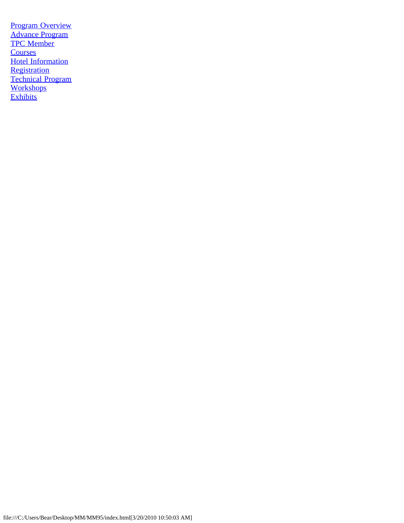[Program Overview](#page-1-0) [Advance Program](#page-3-0) [TPC Member](#page-13-0) **[Courses](#page-15-0) [Hotel Information](#page-30-0) [Registration](#page-31-0) [Technical Program](#page-34-0) [Workshops](#page-44-0) [Exhibits](#page-49-0)**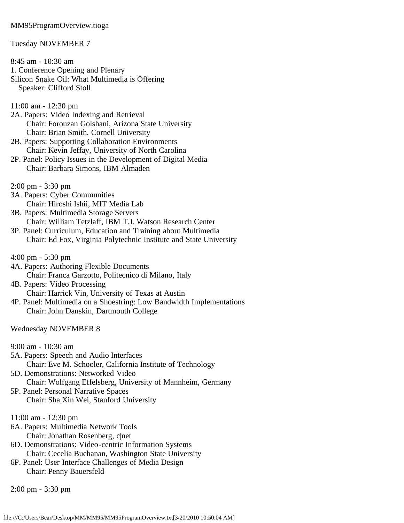### <span id="page-1-0"></span>MM95ProgramOverview.tioga

### Tuesday NOVEMBER 7

- 8:45 am 10:30 am 1. Conference Opening and Plenary Silicon Snake Oil: What Multimedia is Offering Speaker: Clifford Stoll
- 11:00 am 12:30 pm
- 2A. Papers: Video Indexing and Retrieval Chair: Forouzan Golshani, Arizona State University Chair: Brian Smith, Cornell University
- 2B. Papers: Supporting Collaboration Environments Chair: Kevin Jeffay, University of North Carolina
- 2P. Panel: Policy Issues in the Development of Digital Media Chair: Barbara Simons, IBM Almaden
- 2:00 pm 3:30 pm
- 3A. Papers: Cyber Communities Chair: Hiroshi Ishii, MIT Media Lab
- 3B. Papers: Multimedia Storage Servers Chair: William Tetzlaff, IBM T.J. Watson Research Center
- 3P. Panel: Curriculum, Education and Training about Multimedia Chair: Ed Fox, Virginia Polytechnic Institute and State University
- 4:00 pm 5:30 pm
- 4A. Papers: Authoring Flexible Documents Chair: Franca Garzotto, Politecnico di Milano, Italy
- 4B. Papers: Video Processing Chair: Harrick Vin, University of Texas at Austin
- 4P. Panel: Multimedia on a Shoestring: Low Bandwidth Implementations Chair: John Danskin, Dartmouth College

### Wednesday NOVEMBER 8

9:00 am - 10:30 am

- 5A. Papers: Speech and Audio Interfaces Chair: Eve M. Schooler, California Institute of Technology
- 5D. Demonstrations: Networked Video Chair: Wolfgang Effelsberg, University of Mannheim, Germany
- 5P. Panel: Personal Narrative Spaces Chair: Sha Xin Wei, Stanford University
- 11:00 am 12:30 pm
- 6A. Papers: Multimedia Network Tools Chair: Jonathan Rosenberg, c|net
- 6D. Demonstrations: Video-centric Information Systems Chair: Cecelia Buchanan, Washington State University
- 6P. Panel: User Interface Challenges of Media Design Chair: Penny Bauersfeld

2:00 pm - 3:30 pm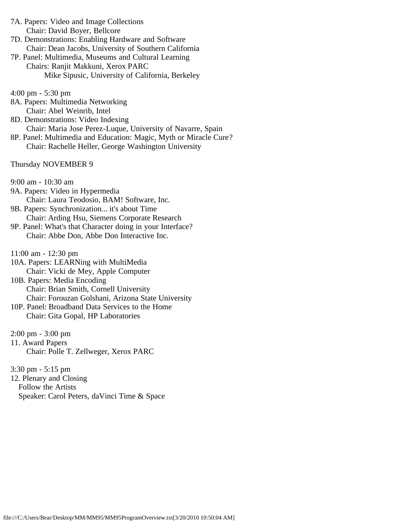- 7A. Papers: Video and Image Collections Chair: David Boyer, Bellcore
- 7D. Demonstrations: Enabling Hardware and Software Chair: Dean Jacobs, University of Southern California
- 7P. Panel: Multimedia, Museums and Cultural Learning Chairs: Ranjit Makkuni, Xerox PARC Mike Sipusic, University of California, Berkeley
- 4:00 pm 5:30 pm
- 8A. Papers: Multimedia Networking Chair: Abel Weinrib, Intel
- 8D. Demonstrations: Video Indexing Chair: Maria Jose Perez-Luque, University of Navarre, Spain
- 8P. Panel: Multimedia and Education: Magic, Myth or Miracle Cure? Chair: Rachelle Heller, George Washington University

Thursday NOVEMBER 9

- 9:00 am 10:30 am
- 9A. Papers: Video in Hypermedia Chair: Laura Teodosio, BAM! Software, Inc.
- 9B. Papers: Synchronization... it's about Time Chair: Arding Hsu, Siemens Corporate Research
- 9P. Panel: What's that Character doing in your Interface? Chair: Abbe Don, Abbe Don Interactive Inc.
- 11:00 am 12:30 pm
- 10A. Papers: LEARNing with MultiMedia Chair: Vicki de Mey, Apple Computer
- 10B. Papers: Media Encoding Chair: Brian Smith, Cornell University Chair: Forouzan Golshani, Arizona State University
- 10P. Panel: Broadband Data Services to the Home Chair: Gita Gopal, HP Laboratories
- 2:00 pm 3:00 pm
- 11. Award Papers Chair: Polle T. Zellweger, Xerox PARC

3:30 pm - 5:15 pm

12. Plenary and Closing Follow the Artists Speaker: Carol Peters, daVinci Time & Space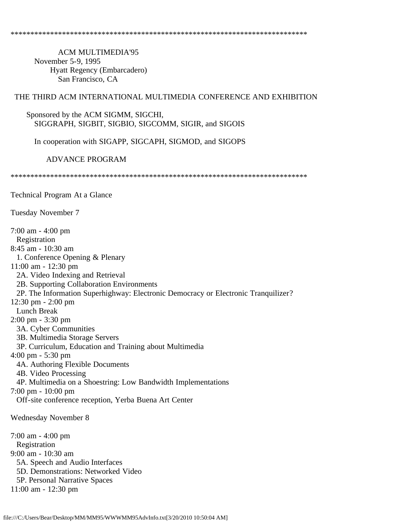<span id="page-3-0"></span> ACM MULTIMEDIA'95 November 5-9, 1995 Hyatt Regency (Embarcadero) San Francisco, CA

### THE THIRD ACM INTERNATIONAL MULTIMEDIA CONFERENCE AND EXHIBITION

### Sponsored by the ACM SIGMM, SIGCHI, SIGGRAPH, SIGBIT, SIGBIO, SIGCOMM, SIGIR, and SIGOIS

In cooperation with SIGAPP, SIGCAPH, SIGMOD, and SIGOPS

ADVANCE PROGRAM

\*\*\*\*\*\*\*\*\*\*\*\*\*\*\*\*\*\*\*\*\*\*\*\*\*\*\*\*\*\*\*\*\*\*\*\*\*\*\*\*\*\*\*\*\*\*\*\*\*\*\*\*\*\*\*\*\*\*\*\*\*\*\*\*\*\*\*\*\*\*\*\*\*\*\*

Technical Program At a Glance

Tuesday November 7

7:00 am - 4:00 pm Registration 8:45 am - 10:30 am 1. Conference Opening & Plenary 11:00 am - 12:30 pm 2A. Video Indexing and Retrieval 2B. Supporting Collaboration Environments 2P. The Information Superhighway: Electronic Democracy or Electronic Tranquilizer? 12:30 pm - 2:00 pm Lunch Break 2:00 pm - 3:30 pm 3A. Cyber Communities 3B. Multimedia Storage Servers 3P. Curriculum, Education and Training about Multimedia 4:00 pm - 5:30 pm 4A. Authoring Flexible Documents 4B. Video Processing 4P. Multimedia on a Shoestring: Low Bandwidth Implementations 7:00 pm - 10:00 pm Off-site conference reception, Yerba Buena Art Center Wednesday November 8 7:00 am - 4:00 pm Registration 9:00 am - 10:30 am 5A. Speech and Audio Interfaces 5D. Demonstrations: Networked Video 5P. Personal Narrative Spaces 11:00 am - 12:30 pm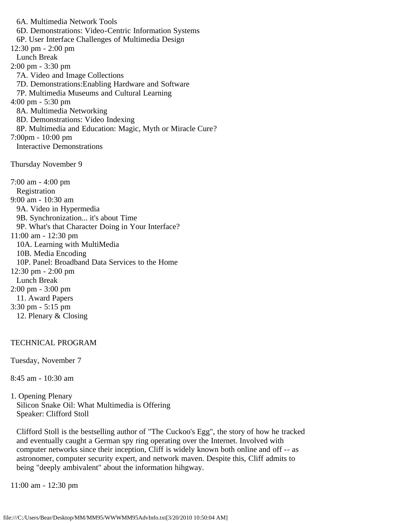6A. Multimedia Network Tools 6D. Demonstrations: Video-Centric Information Systems 6P. User Interface Challenges of Multimedia Design 12:30 pm - 2:00 pm Lunch Break 2:00 pm - 3:30 pm 7A. Video and Image Collections 7D. Demonstrations:Enabling Hardware and Software 7P. Multimedia Museums and Cultural Learning 4:00 pm - 5:30 pm 8A. Multimedia Networking 8D. Demonstrations: Video Indexing 8P. Multimedia and Education: Magic, Myth or Miracle Cure? 7:00pm - 10:00 pm Interactive Demonstrations Thursday November 9 7:00 am - 4:00 pm Registration 9:00 am - 10:30 am 9A. Video in Hypermedia 9B. Synchronization... it's about Time 9P. What's that Character Doing in Your Interface? 11:00 am - 12:30 pm 10A. Learning with MultiMedia 10B. Media Encoding 10P. Panel: Broadband Data Services to the Home 12:30 pm - 2:00 pm Lunch Break 2:00 pm - 3:00 pm 11. Award Papers 3:30 pm - 5:15 pm 12. Plenary & Closing

## TECHNICAL PROGRAM

Tuesday, November 7

8:45 am - 10:30 am

1. Opening Plenary Silicon Snake Oil: What Multimedia is Offering Speaker: Clifford Stoll

 Clifford Stoll is the bestselling author of "The Cuckoo's Egg", the story of how he tracked and eventually caught a German spy ring operating over the Internet. Involved with computer networks since their inception, Cliff is widely known both online and off -- as astronomer, computer security expert, and network maven. Despite this, Cliff admits to being "deeply ambivalent" about the information hihgway.

11:00 am - 12:30 pm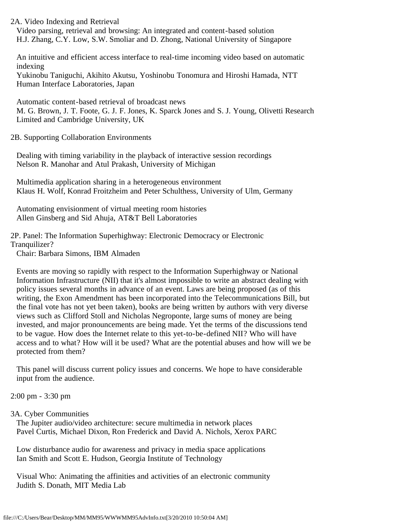2A. Video Indexing and Retrieval Video parsing, retrieval and browsing: An integrated and content-based solution H.J. Zhang, C.Y. Low, S.W. Smoliar and D. Zhong, National University of Singapore

 An intuitive and efficient access interface to real-time incoming video based on automatic indexing

 Yukinobu Taniguchi, Akihito Akutsu, Yoshinobu Tonomura and Hiroshi Hamada, NTT Human Interface Laboratories, Japan

 Automatic content-based retrieval of broadcast news M. G. Brown, J. T. Foote, G. J. F. Jones, K. Sparck Jones and S. J. Young, Olivetti Research Limited and Cambridge University, UK

2B. Supporting Collaboration Environments

 Dealing with timing variability in the playback of interactive session recordings Nelson R. Manohar and Atul Prakash, University of Michigan

 Multimedia application sharing in a heterogeneous environment Klaus H. Wolf, Konrad Froitzheim and Peter Schulthess, University of Ulm, Germany

 Automating envisionment of virtual meeting room histories Allen Ginsberg and Sid Ahuja, AT&T Bell Laboratories

2P. Panel: The Information Superhighway: Electronic Democracy or Electronic Tranquilizer?

Chair: Barbara Simons, IBM Almaden

 Events are moving so rapidly with respect to the Information Superhighway or National Information Infrastructure (NII) that it's almost impossible to write an abstract dealing with policy issues several months in advance of an event. Laws are being proposed (as of this writing, the Exon Amendment has been incorporated into the Telecommunications Bill, but the final vote has not yet been taken), books are being written by authors with very diverse views such as Clifford Stoll and Nicholas Negroponte, large sums of money are being invested, and major pronouncements are being made. Yet the terms of the discussions tend to be vague. How does the Internet relate to this yet-to-be-defined NII? Who will have access and to what? How will it be used? What are the potential abuses and how will we be protected from them?

 This panel will discuss current policy issues and concerns. We hope to have considerable input from the audience.

2:00 pm - 3:30 pm

## 3A. Cyber Communities

 The Jupiter audio/video architecture: secure multimedia in network places Pavel Curtis, Michael Dixon, Ron Frederick and David A. Nichols, Xerox PARC

 Low disturbance audio for awareness and privacy in media space applications Ian Smith and Scott E. Hudson, Georgia Institute of Technology

 Visual Who: Animating the affinities and activities of an electronic community Judith S. Donath, MIT Media Lab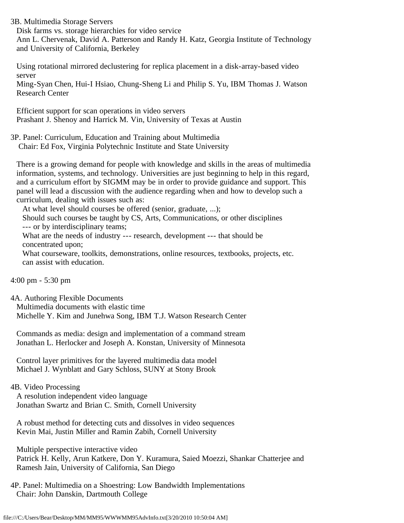3B. Multimedia Storage Servers

 Disk farms vs. storage hierarchies for video service Ann L. Chervenak, David A. Patterson and Randy H. Katz, Georgia Institute of Technology and University of California, Berkeley

 Using rotational mirrored declustering for replica placement in a disk-array-based video server

 Ming-Syan Chen, Hui-I Hsiao, Chung-Sheng Li and Philip S. Yu, IBM Thomas J. Watson Research Center

 Efficient support for scan operations in video servers Prashant J. Shenoy and Harrick M. Vin, University of Texas at Austin

3P. Panel: Curriculum, Education and Training about Multimedia Chair: Ed Fox, Virginia Polytechnic Institute and State University

 There is a growing demand for people with knowledge and skills in the areas of multimedia information, systems, and technology. Universities are just beginning to help in this regard, and a curriculum effort by SIGMM may be in order to provide guidance and support. This panel will lead a discussion with the audience regarding when and how to develop such a curriculum, dealing with issues such as:

At what level should courses be offered (senior, graduate, ...);

 Should such courses be taught by CS, Arts, Communications, or other disciplines --- or by interdisciplinary teams;

 What are the needs of industry --- research, development --- that should be concentrated upon;

 What courseware, toolkits, demonstrations, online resources, textbooks, projects, etc. can assist with education.

```
4:00 pm - 5:30 pm
```
4A. Authoring Flexible Documents Multimedia documents with elastic time Michelle Y. Kim and Junehwa Song, IBM T.J. Watson Research Center

 Commands as media: design and implementation of a command stream Jonathan L. Herlocker and Joseph A. Konstan, University of Minnesota

 Control layer primitives for the layered multimedia data model Michael J. Wynblatt and Gary Schloss, SUNY at Stony Brook

# 4B. Video Processing

 A resolution independent video language Jonathan Swartz and Brian C. Smith, Cornell University

 A robust method for detecting cuts and dissolves in video sequences Kevin Mai, Justin Miller and Ramin Zabih, Cornell University

 Multiple perspective interactive video Patrick H. Kelly, Arun Katkere, Don Y. Kuramura, Saied Moezzi, Shankar Chatterjee and Ramesh Jain, University of California, San Diego

4P. Panel: Multimedia on a Shoestring: Low Bandwidth Implementations Chair: John Danskin, Dartmouth College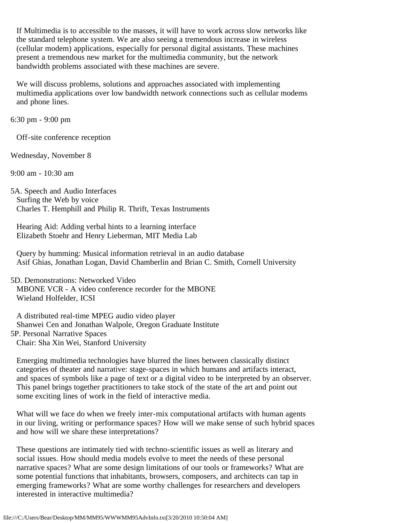If Multimedia is to accessible to the masses, it will have to work across slow networks like the standard telephone system. We are also seeing a tremendous increase in wireless (cellular modem) applications, especially for personal digital assistants. These machines present a tremendous new market for the multimedia community, but the network bandwidth problems associated with these machines are severe.

 We will discuss problems, solutions and approaches associated with implementing multimedia applications over low bandwidth network connections such as cellular modems and phone lines.

6:30 pm - 9:00 pm

Off-site conference reception

Wednesday, November 8

9:00 am - 10:30 am

5A. Speech and Audio Interfaces Surfing the Web by voice Charles T. Hemphill and Philip R. Thrift, Texas Instruments

 Hearing Aid: Adding verbal hints to a learning interface Elizabeth Stoehr and Henry Lieberman, MIT Media Lab

 Query by humming: Musical information retrieval in an audio database Asif Ghias, Jonathan Logan, David Chamberlin and Brian C. Smith, Cornell University

5D. Demonstrations: Networked Video MBONE VCR - A video conference recorder for the MBONE Wieland Holfelder, ICSI

 A distributed real-time MPEG audio video player Shanwei Cen and Jonathan Walpole, Oregon Graduate Institute 5P. Personal Narrative Spaces Chair: Sha Xin Wei, Stanford University

 Emerging multimedia technologies have blurred the lines between classically distinct categories of theater and narrative: stage-spaces in which humans and artifacts interact, and spaces of symbols like a page of text or a digital video to be interpreted by an observer. This panel brings together practitioners to take stock of the state of the art and point out some exciting lines of work in the field of interactive media.

 What will we face do when we freely inter-mix computational artifacts with human agents in our living, writing or performance spaces? How will we make sense of such hybrid spaces and how will we share these interpretations?

 These questions are intimately tied with techno-scientific issues as well as literary and social issues. How should media models evolve to meet the needs of these personal narrative spaces? What are some design limitations of our tools or frameworks? What are some potential functions that inhabitants, browsers, composers, and architects can tap in emerging frameworks? What are some worthy challenges for researchers and developers interested in interactive multimedia?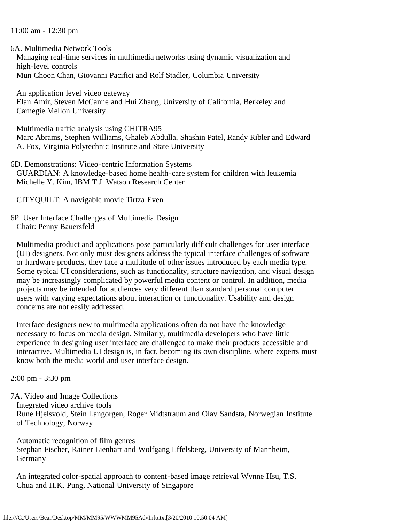### 11:00 am - 12:30 pm

6A. Multimedia Network Tools

 Managing real-time services in multimedia networks using dynamic visualization and high-level controls Mun Choon Chan, Giovanni Pacifici and Rolf Stadler, Columbia University

 An application level video gateway Elan Amir, Steven McCanne and Hui Zhang, University of California, Berkeley and Carnegie Mellon University

 Multimedia traffic analysis using CHITRA95 Marc Abrams, Stephen Williams, Ghaleb Abdulla, Shashin Patel, Randy Ribler and Edward A. Fox, Virginia Polytechnic Institute and State University

6D. Demonstrations: Video-centric Information Systems GUARDIAN: A knowledge-based home health-care system for children with leukemia Michelle Y. Kim, IBM T.J. Watson Research Center

CITYQUILT: A navigable movie Tirtza Even

6P. User Interface Challenges of Multimedia Design Chair: Penny Bauersfeld

 Multimedia product and applications pose particularly difficult challenges for user interface (UI) designers. Not only must designers address the typical interface challenges of software or hardware products, they face a multitude of other issues introduced by each media type. Some typical UI considerations, such as functionality, structure navigation, and visual design may be increasingly complicated by powerful media content or control. In addition, media projects may be intended for audiences very different than standard personal computer users with varying expectations about interaction or functionality. Usability and design concerns are not easily addressed.

 Interface designers new to multimedia applications often do not have the knowledge necessary to focus on media design. Similarly, multimedia developers who have little experience in designing user interface are challenged to make their products accessible and interactive. Multimedia UI design is, in fact, becoming its own discipline, where experts must know both the media world and user interface design.

2:00 pm - 3:30 pm

7A. Video and Image Collections Integrated video archive tools Rune Hjelsvold, Stein Langorgen, Roger Midtstraum and Olav Sandsta, Norwegian Institute of Technology, Norway

 Automatic recognition of film genres Stephan Fischer, Rainer Lienhart and Wolfgang Effelsberg, University of Mannheim, Germany

 An integrated color-spatial approach to content-based image retrieval Wynne Hsu, T.S. Chua and H.K. Pung, National University of Singapore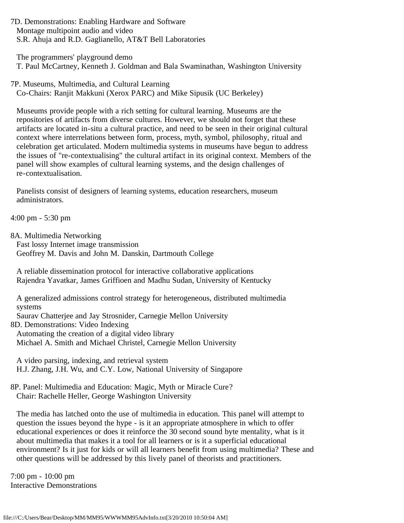7D. Demonstrations: Enabling Hardware and Software Montage multipoint audio and video S.R. Ahuja and R.D. Gaglianello, AT&T Bell Laboratories

 The programmers' playground demo T. Paul McCartney, Kenneth J. Goldman and Bala Swaminathan, Washington University

7P. Museums, Multimedia, and Cultural Learning Co-Chairs: Ranjit Makkuni (Xerox PARC) and Mike Sipusik (UC Berkeley)

 Museums provide people with a rich setting for cultural learning. Museums are the repositories of artifacts from diverse cultures. However, we should not forget that these artifacts are located in-situ a cultural practice, and need to be seen in their original cultural context where interrelations between form, process, myth, symbol, philosophy, ritual and celebration get articulated. Modern multimedia systems in museums have begun to address the issues of "re-contextualising" the cultural artifact in its original context. Members of the panel will show examples of cultural learning systems, and the design challenges of re-contextualisation.

 Panelists consist of designers of learning systems, education researchers, museum administrators.

4:00 pm - 5:30 pm

8A. Multimedia Networking

 Fast lossy Internet image transmission Geoffrey M. Davis and John M. Danskin, Dartmouth College

 A reliable dissemination protocol for interactive collaborative applications Rajendra Yavatkar, James Griffioen and Madhu Sudan, University of Kentucky

 A generalized admissions control strategy for heterogeneous, distributed multimedia systems

Saurav Chatterjee and Jay Strosnider, Carnegie Mellon University

8D. Demonstrations: Video Indexing

 Automating the creation of a digital video library Michael A. Smith and Michael Christel, Carnegie Mellon University

 A video parsing, indexing, and retrieval system H.J. Zhang, J.H. Wu, and C.Y. Low, National University of Singapore

8P. Panel: Multimedia and Education: Magic, Myth or Miracle Cure? Chair: Rachelle Heller, George Washington University

 The media has latched onto the use of multimedia in education. This panel will attempt to question the issues beyond the hype - is it an appropriate atmosphere in which to offer educational experiences or does it reinforce the 30 second sound byte mentality, what is it about multimedia that makes it a tool for all learners or is it a superficial educational environment? Is it just for kids or will all learners benefit from using multimedia? These and other questions will be addressed by this lively panel of theorists and practitioners.

7:00 pm - 10:00 pm Interactive Demonstrations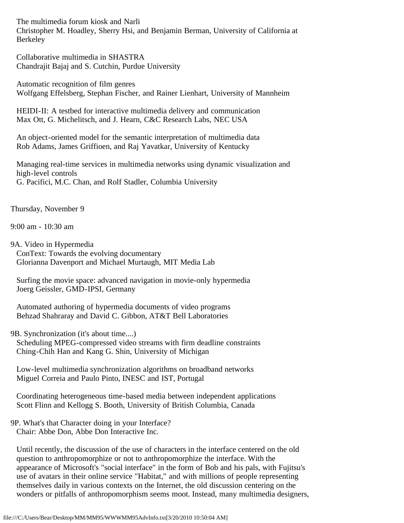The multimedia forum kiosk and Narli Christopher M. Hoadley, Sherry Hsi, and Benjamin Berman, University of California at Berkeley

 Collaborative multimedia in SHASTRA Chandrajit Bajaj and S. Cutchin, Purdue University

 Automatic recognition of film genres Wolfgang Effelsberg, Stephan Fischer, and Rainer Lienhart, University of Mannheim

 HEIDI-II: A testbed for interactive multimedia delivery and communication Max Ott, G. Michelitsch, and J. Hearn, C&C Research Labs, NEC USA

 An object-oriented model for the semantic interpretation of multimedia data Rob Adams, James Griffioen, and Raj Yavatkar, University of Kentucky

 Managing real-time services in multimedia networks using dynamic visualization and high-level controls G. Pacifici, M.C. Chan, and Rolf Stadler, Columbia University

Thursday, November 9

9:00 am - 10:30 am

9A. Video in Hypermedia ConText: Towards the evolving documentary Glorianna Davenport and Michael Murtaugh, MIT Media Lab

 Surfing the movie space: advanced navigation in movie-only hypermedia Joerg Geissler, GMD-IPSI, Germany

 Automated authoring of hypermedia documents of video programs Behzad Shahraray and David C. Gibbon, AT&T Bell Laboratories

9B. Synchronization (it's about time....)

 Scheduling MPEG-compressed video streams with firm deadline constraints Ching-Chih Han and Kang G. Shin, University of Michigan

 Low-level multimedia synchronization algorithms on broadband networks Miguel Correia and Paulo Pinto, INESC and IST, Portugal

 Coordinating heterogeneous time-based media between independent applications Scott Flinn and Kellogg S. Booth, University of British Columbia, Canada

## 9P. What's that Character doing in your Interface? Chair: Abbe Don, Abbe Don Interactive Inc.

 Until recently, the discussion of the use of characters in the interface centered on the old question to anthropomorphize or not to anthropomorphize the interface. With the appearance of Microsoft's "social interface" in the form of Bob and his pals, with Fujitsu's use of avatars in their online service "Habitat," and with millions of people representing themselves daily in various contexts on the Internet, the old discussion centering on the wonders or pitfalls of anthropomorphism seems moot. Instead, many multimedia designers,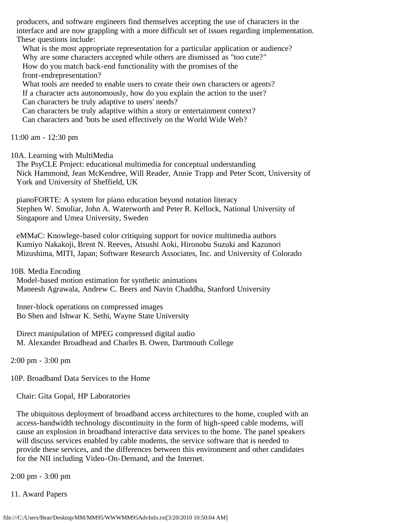producers, and software engineers find themselves accepting the use of characters in the interface and are now grappling with a more difficult set of issues regarding implementation. These questions include:

What is the most appropriate representation for a particular application or audience? Why are some characters accepted while others are dismissed as "too cute?" How do you match back-end functionality with the promises of the front-endrepresentation?

 What tools are needed to enable users to create their own characters or agents? If a character acts autonomously, how do you explain the action to the user? Can characters be truly adaptive to users' needs?

 Can characters be truly adaptive within a story or entertainment context? Can characters and 'bots be used effectively on the World Wide Web?

11:00 am - 12:30 pm

10A. Learning with MultiMedia

 The PsyCLE Project: educational multimedia for conceptual understanding Nick Hammond, Jean McKendree, Will Reader, Annie Trapp and Peter Scott, University of York and University of Sheffield, UK

 pianoFORTE: A system for piano education beyond notation literacy Stephen W. Smoliar, John A. Waterworth and Peter R. Kellock, National University of Singapore and Umea University, Sweden

 eMMaC: Knowlege-based color critiquing support for novice multimedia authors Kumiyo Nakakoji, Brent N. Reeves, Atsushi Aoki, Hironobu Suzuki and Kazunori Mizushima, MITI, Japan; Software Research Associates, Inc. and University of Colorado

10B. Media Encoding

 Model-based motion estimation for synthetic animations Maneesh Agrawala, Andrew C. Beers and Navin Chaddha, Stanford University

 Inner-block operations on compressed images Bo Shen and Ishwar K. Sethi, Wayne State University

 Direct manipulation of MPEG compressed digital audio M. Alexander Broadhead and Charles B. Owen, Dartmouth College

2:00 pm - 3:00 pm

10P. Broadband Data Services to the Home

Chair: Gita Gopal, HP Laboratories

 The ubiquitous deployment of broadband access architectures to the home, coupled with an access-bandwidth technology discontinuity in the form of high-speed cable modems, will cause an explosion in broadband interactive data services to the home. The panel speakers will discuss services enabled by cable modems, the service software that is needed to provide these services, and the differences between this environment and other candidates for the NII including Video-On-Demand, and the Internet.

2:00 pm - 3:00 pm

11. Award Papers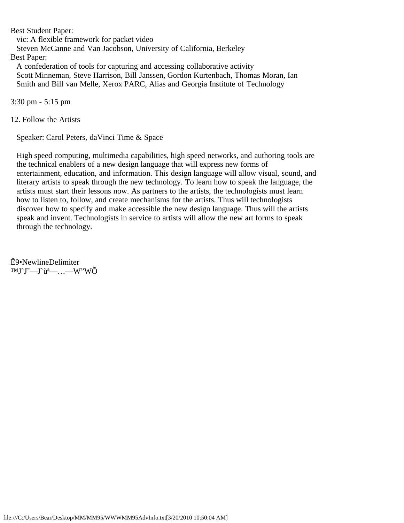Best Student Paper: vic: A flexible framework for packet video Steven McCanne and Van Jacobson, University of California, Berkeley Best Paper: A confederation of tools for capturing and accessing collaborative activity Scott Minneman, Steve Harrison, Bill Janssen, Gordon Kurtenbach, Thomas Moran, Ian Smith and Bill van Melle, Xerox PARC, Alias and Georgia Institute of Technology

3:30 pm - 5:15 pm

12. Follow the Artists

Speaker: Carol Peters, daVinci Time & Space

 High speed computing, multimedia capabilities, high speed networks, and authoring tools are the technical enablers of a new design language that will express new forms of entertainment, education, and information. This design language will allow visual, sound, and literary artists to speak through the new technology. To learn how to speak the language, the artists must start their lessons now. As partners to the artists, the technologists must learn how to listen to, follow, and create mechanisms for the artists. Thus will technologists discover how to specify and make accessible the new design language. Thus will the artists speak and invent. Technologists in service to artists will allow the new art forms to speak through the technology.

Ê9•NewlineDelimiter  $TMJ^T-J^{\hat{u}^a}$  ... - W"WO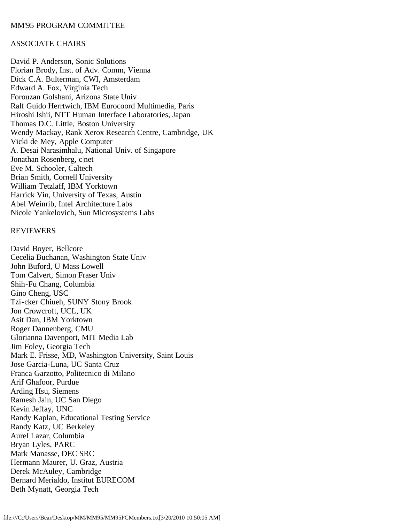# <span id="page-13-0"></span>ASSOCIATE CHAIRS

David P. Anderson, Sonic Solutions Florian Brody, Inst. of Adv. Comm, Vienna Dick C.A. Bulterman, CWI, Amsterdam Edward A. Fox, Virginia Tech Forouzan Golshani, Arizona State Univ Ralf Guido Herrtwich, IBM Eurocoord Multimedia, Paris Hiroshi Ishii, NTT Human Interface Laboratories, Japan Thomas D.C. Little, Boston University Wendy Mackay, Rank Xerox Research Centre, Cambridge, UK Vicki de Mey, Apple Computer A. Desai Narasimhalu, National Univ. of Singapore Jonathan Rosenberg, c|net Eve M. Schooler, Caltech Brian Smith, Cornell University William Tetzlaff, IBM Yorktown Harrick Vin, University of Texas, Austin Abel Weinrib, Intel Architecture Labs Nicole Yankelovich, Sun Microsystems Labs

## **REVIEWERS**

David Boyer, Bellcore Cecelia Buchanan, Washington State Univ John Buford, U Mass Lowell Tom Calvert, Simon Fraser Univ Shih-Fu Chang, Columbia Gino Cheng, USC Tzi-cker Chiueh, SUNY Stony Brook Jon Crowcroft, UCL, UK Asit Dan, IBM Yorktown Roger Dannenberg, CMU Glorianna Davenport, MIT Media Lab Jim Foley, Georgia Tech Mark E. Frisse, MD, Washington University, Saint Louis Jose Garcia-Luna, UC Santa Cruz Franca Garzotto, Politecnico di Milano Arif Ghafoor, Purdue Arding Hsu, Siemens Ramesh Jain, UC San Diego Kevin Jeffay, UNC Randy Kaplan, Educational Testing Service Randy Katz, UC Berkeley Aurel Lazar, Columbia Bryan Lyles, PARC Mark Manasse, DEC SRC Hermann Maurer, U. Graz, Austria Derek McAuley, Cambridge Bernard Merialdo, Institut EURECOM Beth Mynatt, Georgia Tech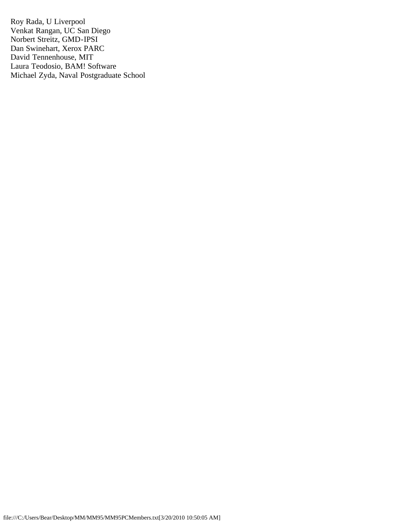Roy Rada, U Liverpool Venkat Rangan, UC San Diego Norbert Streitz, GMD-IPSI Dan Swinehart, Xerox PARC David Tennenhouse, MIT Laura Teodosio, BAM! Software Michael Zyda, Naval Postgraduate School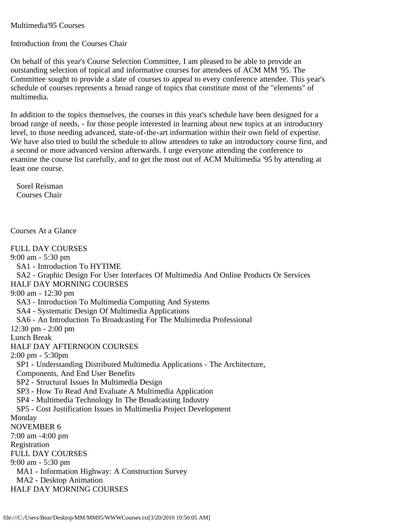## <span id="page-15-0"></span>Multimedia'95 Courses

Introduction from the Courses Chair

On behalf of this year's Course Selection Committee, I am pleased to be able to provide an outstanding selection of topical and informative courses for attendees of ACM MM '95. The Committee sought to provide a slate of courses to appeal to every conference attendee. This year's schedule of courses represents a broad range of topics that constitute most of the "elements" of multimedia.

In addition to the topics themselves, the courses in this year's schedule have been designed for a broad range of needs, - for those people interested in learning about new topics at an introductory level, to those needing advanced, state-of-the-art information within their own field of expertise. We have also tried to build the schedule to allow attendees to take an introductory course first, and a second or more advanced version afterwards. I urge everyone attending the conference to examine the course list carefully, and to get the most out of ACM Multimedia '95 by attending at least one course.

 Sorel Reisman Courses Chair

Courses At a Glance

FULL DAY COURSES 9:00 am - 5:30 pm SA1 - Introduction To HYTIME SA2 - Graphic Design For User Interfaces Of Multimedia And Online Products Or Services HALF DAY MORNING COURSES 9:00 am - 12:30 pm SA3 - Introduction To Multimedia Computing And Systems SA4 - Systematic Design Of Multimedia Applications SA6 - An Introduction To Broadcasting For The Multimedia Professional 12:30 pm - 2:00 pm Lunch Break HALF DAY AFTERNOON COURSES 2:00 pm - 5:30pm SP1 - Understanding Distributed Multimedia Applications - The Architecture, Components, And End User Benefits SP2 - Structural Issues In Multimedia Design SP3 - How To Read And Evaluate A Multimedia Application SP4 - Multimedia Technology In The Broadcasting Industry SP5 - Cost Justification Issues in Multimedia Project Development Monday NOVEMBER 6 7:00 am -4:00 pm Registration FULL DAY COURSES 9:00 am - 5:30 pm MA1 - Information Highway: A Construction Survey MA2 - Desktop Animation HALF DAY MORNING COURSES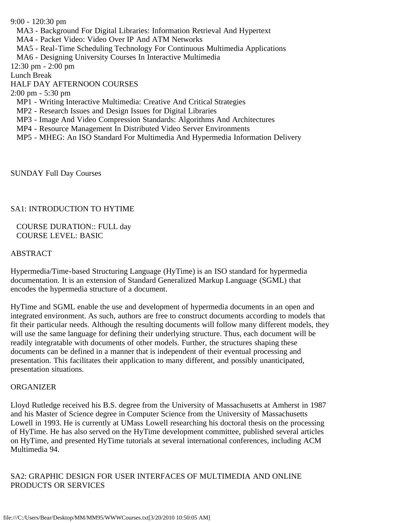9:00 - 120:30 pm MA3 - Background For Digital Libraries: Information Retrieval And Hypertext MA4 - Packet Video: Video Over IP And ATM Networks MA5 - Real-Time Scheduling Technology For Continuous Multimedia Applications MA6 - Designing University Courses In Interactive Multimedia 12:30 pm - 2:00 pm Lunch Break HALF DAY AFTERNOON COURSES 2:00 pm - 5:30 pm MP1 - Writing Interactive Multimedia: Creative And Critical Strategies MP2 - Research Issues and Design Issues for Digital Libraries MP3 - Image And Video Compression Standards: Algorithms And Architectures MP4 - Resource Management In Distributed Video Server Environments MP5 - MHEG: An ISO Standard For Multimedia And Hypermedia Information Delivery

SUNDAY Full Day Courses

# SA1: INTRODUCTION TO HYTIME

 COURSE DURATION:: FULL day COURSE LEVEL: BASIC

## ABSTRACT

Hypermedia/Time-based Structuring Language (HyTime) is an ISO standard for hypermedia documentation. It is an extension of Standard Generalized Markup Language (SGML) that encodes the hypermedia structure of a document.

HyTime and SGML enable the use and development of hypermedia documents in an open and integrated environment. As such, authors are free to construct documents according to models that fit their particular needs. Although the resulting documents will follow many different models, they will use the same language for defining their underlying structure. Thus, each document will be readily integratable with documents of other models. Further, the structures shaping these documents can be defined in a manner that is independent of their eventual processing and presentation. This facilitates their application to many different, and possibly unanticipated, presentation situations.

## **ORGANIZER**

Lloyd Rutledge received his B.S. degree from the University of Massachusetts at Amherst in 1987 and his Master of Science degree in Computer Science from the University of Massachusetts Lowell in 1993. He is currently at UMass Lowell researching his doctoral thesis on the processing of HyTime. He has also served on the HyTime development committee, published several articles on HyTime, and presented HyTime tutorials at several international conferences, including ACM Multimedia 94.

SA2: GRAPHIC DESIGN FOR USER INTERFACES OF MULTIMEDIA AND ONLINE PRODUCTS OR SERVICES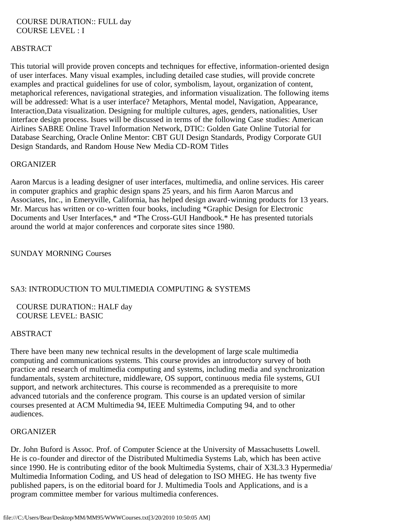## COURSE DURATION:: FULL day COURSE LEVEL : I

# **ABSTRACT**

This tutorial will provide proven concepts and techniques for effective, information-oriented design of user interfaces. Many visual examples, including detailed case studies, will provide concrete examples and practical guidelines for use of color, symbolism, layout, organization of content, metaphorical references, navigational strategies, and information visualization. The following items will be addressed: What is a user interface? Metaphors, Mental model, Navigation, Appearance, Interaction,Data visualization. Designing for multiple cultures, ages, genders, nationalities, User interface design process. Isues will be discussed in terms of the following Case studies: American Airlines SABRE Online Travel Information Network, DTIC: Golden Gate Online Tutorial for Database Searching, Oracle Online Mentor: CBT GUI Design Standards, Prodigy Corporate GUI Design Standards, and Random House New Media CD-ROM Titles

## **ORGANIZER**

Aaron Marcus is a leading designer of user interfaces, multimedia, and online services. His career in computer graphics and graphic design spans 25 years, and his firm Aaron Marcus and Associates, Inc., in Emeryville, California, has helped design award-winning products for 13 years. Mr. Marcus has written or co-written four books, including \*Graphic Design for Electronic Documents and User Interfaces,\* and \*The Cross-GUI Handbook.\* He has presented tutorials around the world at major conferences and corporate sites since 1980.

## SUNDAY MORNING Courses

## SA3: INTRODUCTION TO MULTIMEDIA COMPUTING & SYSTEMS

# COURSE DURATION:: HALF day COURSE LEVEL: BASIC

## ABSTRACT

There have been many new technical results in the development of large scale multimedia computing and communications systems. This course provides an introductory survey of both practice and research of multimedia computing and systems, including media and synchronization fundamentals, system architecture, middleware, OS support, continuous media file systems, GUI support, and network architectures. This course is recommended as a prerequisite to more advanced tutorials and the conference program. This course is an updated version of similar courses presented at ACM Multimedia 94, IEEE Multimedia Computing 94, and to other audiences.

## **ORGANIZER**

Dr. John Buford is Assoc. Prof. of Computer Science at the University of Massachusetts Lowell. He is co-founder and director of the Distributed Multimedia Systems Lab, which has been active since 1990. He is contributing editor of the book Multimedia Systems, chair of X3L3.3 Hypermedia/ Multimedia Information Coding, and US head of delegation to ISO MHEG. He has twenty five published papers, is on the editorial board for J. Multimedia Tools and Applications, and is a program committee member for various multimedia conferences.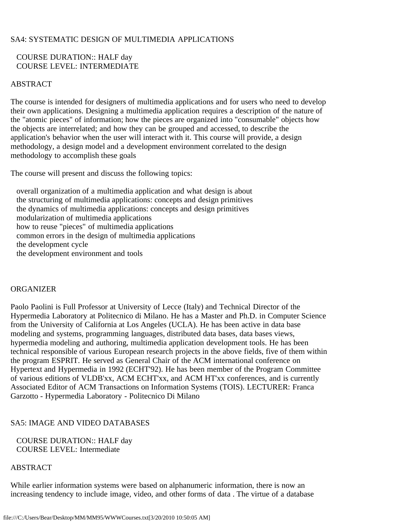# SA4: SYSTEMATIC DESIGN OF MULTIMEDIA APPLICATIONS

# COURSE DURATION:: HALF day COURSE LEVEL: INTERMEDIATE

# ABSTRACT

The course is intended for designers of multimedia applications and for users who need to develop their own applications. Designing a multimedia application requires a description of the nature of the "atomic pieces" of information; how the pieces are organized into "consumable" objects how the objects are interrelated; and how they can be grouped and accessed, to describe the application's behavior when the user will interact with it. This course will provide, a design methodology, a design model and a development environment correlated to the design methodology to accomplish these goals

The course will present and discuss the following topics:

 overall organization of a multimedia application and what design is about the structuring of multimedia applications: concepts and design primitives the dynamics of multimedia applications: concepts and design primitives modularization of multimedia applications how to reuse "pieces" of multimedia applications common errors in the design of multimedia applications the development cycle the development environment and tools

## ORGANIZER

Paolo Paolini is Full Professor at University of Lecce (Italy) and Technical Director of the Hypermedia Laboratory at Politecnico di Milano. He has a Master and Ph.D. in Computer Science from the University of California at Los Angeles (UCLA). He has been active in data base modeling and systems, programming languages, distributed data bases, data bases views, hypermedia modeling and authoring, multimedia application development tools. He has been technical responsible of various European research projects in the above fields, five of them within the program ESPRIT. He served as General Chair of the ACM international conference on Hypertext and Hypermedia in 1992 (ECHT'92). He has been member of the Program Committee of various editions of VLDB'xx, ACM ECHT'xx, and ACM HT'xx conferences, and is currently Associated Editor of ACM Transactions on Information Systems (TOIS). LECTURER: Franca Garzotto - Hypermedia Laboratory - Politecnico Di Milano

# SA5: IMAGE AND VIDEO DATABASES

 COURSE DURATION:: HALF day COURSE LEVEL: Intermediate

## ABSTRACT

While earlier information systems were based on alphanumeric information, there is now an increasing tendency to include image, video, and other forms of data . The virtue of a database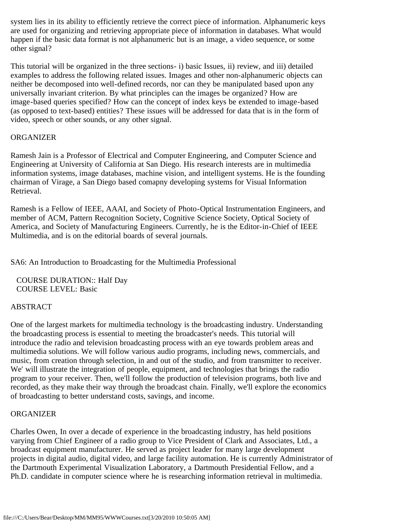system lies in its ability to efficiently retrieve the correct piece of information. Alphanumeric keys are used for organizing and retrieving appropriate piece of information in databases. What would happen if the basic data format is not alphanumeric but is an image, a video sequence, or some other signal?

This tutorial will be organized in the three sections- i) basic Issues, ii) review, and iii) detailed examples to address the following related issues. Images and other non-alphanumeric objects can neither be decomposed into well-defined records, nor can they be manipulated based upon any universally invariant criterion. By what principles can the images be organized? How are image-based queries specified? How can the concept of index keys be extended to image-based (as opposed to text-based) entities? These issues will be addressed for data that is in the form of video, speech or other sounds, or any other signal.

# **ORGANIZER**

Ramesh Jain is a Professor of Electrical and Computer Engineering, and Computer Science and Engineering at University of California at San Diego. His research interests are in multimedia information systems, image databases, machine vision, and intelligent systems. He is the founding chairman of Virage, a San Diego based comapny developing systems for Visual Information Retrieval.

Ramesh is a Fellow of IEEE, AAAI, and Society of Photo-Optical Instrumentation Engineers, and member of ACM, Pattern Recognition Society, Cognitive Science Society, Optical Society of America, and Society of Manufacturing Engineers. Currently, he is the Editor-in-Chief of IEEE Multimedia, and is on the editorial boards of several journals.

SA6: An Introduction to Broadcasting for the Multimedia Professional

 COURSE DURATION:: Half Day COURSE LEVEL: Basic

# ABSTRACT

One of the largest markets for multimedia technology is the broadcasting industry. Understanding the broadcasting process is essential to meeting the broadcaster's needs. This tutorial will introduce the radio and television broadcasting process with an eye towards problem areas and multimedia solutions. We will follow various audio programs, including news, commercials, and music, from creation through selection, in and out of the studio, and from transmitter to receiver. We' will illustrate the integration of people, equipment, and technologies that brings the radio program to your receiver. Then, we'll follow the production of television programs, both live and recorded, as they make their way through the broadcast chain. Finally, we'll explore the economics of broadcasting to better understand costs, savings, and income.

## ORGANIZER

Charles Owen, In over a decade of experience in the broadcasting industry, has held positions varying from Chief Engineer of a radio group to Vice President of Clark and Associates, Ltd., a broadcast equipment manufacturer. He served as project leader for many large development projects in digital audio, digital video, and large facility automation. He is currently Administrator of the Dartmouth Experimental Visualization Laboratory, a Dartmouth Presidential Fellow, and a Ph.D. candidate in computer science where he is researching information retrieval in multimedia.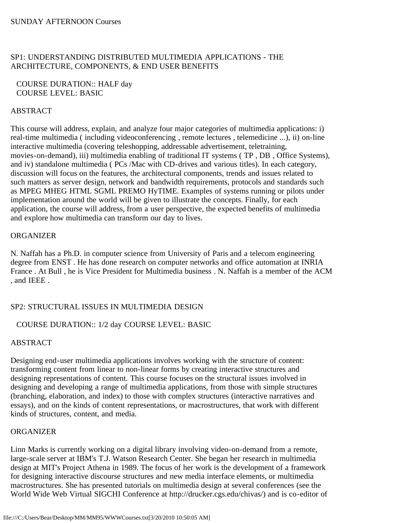# SP1: UNDERSTANDING DISTRIBUTED MULTIMEDIA APPLICATIONS - THE ARCHITECTURE, COMPONENTS, & END USER BENEFITS

# COURSE DURATION:: HALF day COURSE LEVEL: BASIC

# ABSTRACT

This course will address, explain, and analyze four major categories of multimedia applications: i) real-time multimedia ( including videoconferencing , remote lectures , telemedicine ...), ii) on-line interactive multimedia (covering teleshopping, addressable advertisement, teletraining, movies-on-demand), iii) multimedia enabling of traditional IT systems ( TP , DB , Office Systems), and iv) standalone multimedia ( PCs /Mac with CD-drives and various titles). In each category, discussion will focus on the features, the architectural components, trends and issues related to such matters as server design, network and bandwidth requirements, protocols and standards such as MPEG MHEG HTML SGML PREMO HyTIME. Examples of systems running or pilots under implementation around the world will be given to illustrate the concepts. Finally, for each application, the course will address, from a user perspective, the expected benefits of multimedia and explore how multimedia can transform our day to lives.

# **ORGANIZER**

N. Naffah has a Ph.D. in computer science from University of Paris and a telecom engineering degree from ENST . He has done research on computer networks and office automation at INRIA France . At Bull , he is Vice President for Multimedia business . N. Naffah is a member of the ACM , and IEEE .

# SP2: STRUCTURAL ISSUES IN MULTIMEDIA DESIGN

# COURSE DURATION:: 1/2 day COURSE LEVEL: BASIC

# ABSTRACT

Designing end-user multimedia applications involves working with the structure of content: transforming content from linear to non-linear forms by creating interactive structures and designing representations of content. This course focuses on the structural issues involved in designing and developing a range of multimedia applications, from those with simple structures (branching, elaboration, and index) to those with complex structures (interactive narratives and essays), and on the kinds of content representations, or macrostructures, that work with different kinds of structures, content, and media.

# **ORGANIZER**

Linn Marks is currently working on a digital library involving video-on-demand from a remote, large-scale server at IBM's T.J. Watson Research Center. She began her research in multimedia design at MIT's Project Athena in 1989. The focus of her work is the development of a framework for designing interactive discourse structures and new media interface elements, or multimedia macrostructures. She has presented tutorials on multimedia design at several conferences (see the World Wide Web Virtual SIGCHI Conference at http://drucker.cgs.edu/chivas/) and is co-editor of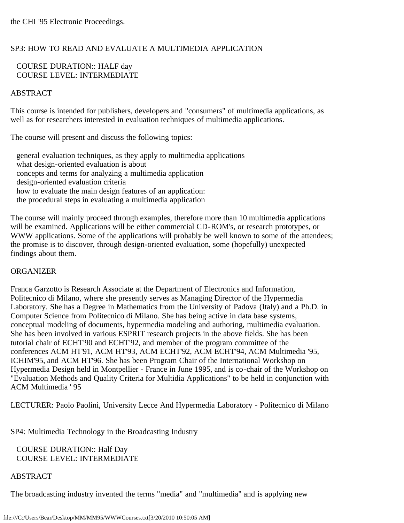# SP3: HOW TO READ AND EVALUATE A MULTIMEDIA APPLICATION

# COURSE DURATION:: HALF day COURSE LEVEL: INTERMEDIATE

# ABSTRACT

This course is intended for publishers, developers and "consumers" of multimedia applications, as well as for researchers interested in evaluation techniques of multimedia applications.

The course will present and discuss the following topics:

 general evaluation techniques, as they apply to multimedia applications what design-oriented evaluation is about concepts and terms for analyzing a multimedia application design-oriented evaluation criteria how to evaluate the main design features of an application: the procedural steps in evaluating a multimedia application

The course will mainly proceed through examples, therefore more than 10 multimedia applications will be examined. Applications will be either commercial CD-ROM's, or research prototypes, or WWW applications. Some of the applications will probably be well known to some of the attendees; the promise is to discover, through design-oriented evaluation, some (hopefully) unexpected findings about them.

# ORGANIZER

Franca Garzotto is Research Associate at the Department of Electronics and Information, Politecnico di Milano, where she presently serves as Managing Director of the Hypermedia Laboratory. She has a Degree in Mathematics from the University of Padova (Italy) and a Ph.D. in Computer Science from Politecnico di Milano. She has being active in data base systems, conceptual modeling of documents, hypermedia modeling and authoring, multimedia evaluation. She has been involved in various ESPRIT research projects in the above fields. She has been tutorial chair of ECHT'90 and ECHT'92, and member of the program committee of the conferences ACM HT'91, ACM HT'93, ACM ECHT'92, ACM ECHT'94, ACM Multimedia '95, ICHIM'95, and ACM HT'96. She has been Program Chair of the International Workshop on Hypermedia Design held in Montpellier - France in June 1995, and is co-chair of the Workshop on "Evaluation Methods and Quality Criteria for Multidia Applications" to be held in conjunction with ACM Multimedia ' 95

LECTURER: Paolo Paolini, University Lecce And Hypermedia Laboratory - Politecnico di Milano

SP4: Multimedia Technology in the Broadcasting Industry

 COURSE DURATION:: Half Day COURSE LEVEL: INTERMEDIATE

# ABSTRACT

The broadcasting industry invented the terms "media" and "multimedia" and is applying new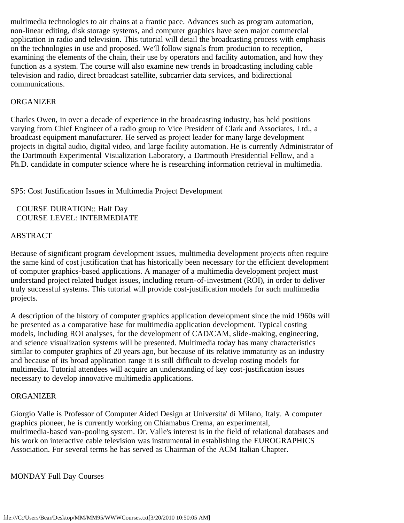multimedia technologies to air chains at a frantic pace. Advances such as program automation, non-linear editing, disk storage systems, and computer graphics have seen major commercial application in radio and television. This tutorial will detail the broadcasting process with emphasis on the technologies in use and proposed. We'll follow signals from production to reception, examining the elements of the chain, their use by operators and facility automation, and how they function as a system. The course will also examine new trends in broadcasting including cable television and radio, direct broadcast satellite, subcarrier data services, and bidirectional communications.

## **ORGANIZER**

Charles Owen, in over a decade of experience in the broadcasting industry, has held positions varying from Chief Engineer of a radio group to Vice President of Clark and Associates, Ltd., a broadcast equipment manufacturer. He served as project leader for many large development projects in digital audio, digital video, and large facility automation. He is currently Administrator of the Dartmouth Experimental Visualization Laboratory, a Dartmouth Presidential Fellow, and a Ph.D. candidate in computer science where he is researching information retrieval in multimedia.

SP5: Cost Justification Issues in Multimedia Project Development

 COURSE DURATION:: Half Day COURSE LEVEL: INTERMEDIATE

## ABSTRACT

Because of significant program development issues, multimedia development projects often require the same kind of cost justification that has historically been necessary for the efficient development of computer graphics-based applications. A manager of a multimedia development project must understand project related budget issues, including return-of-investment (ROI), in order to deliver truly successful systems. This tutorial will provide cost-justification models for such multimedia projects.

A description of the history of computer graphics application development since the mid 1960s will be presented as a comparative base for multimedia application development. Typical costing models, including ROI analyses, for the development of CAD/CAM, slide-making, engineering, and science visualization systems will be presented. Multimedia today has many characteristics similar to computer graphics of 20 years ago, but because of its relative immaturity as an industry and because of its broad application range it is still difficult to develop costing models for multimedia. Tutorial attendees will acquire an understanding of key cost-justification issues necessary to develop innovative multimedia applications.

### **ORGANIZER**

Giorgio Valle is Professor of Computer Aided Design at Universita' di Milano, Italy. A computer graphics pioneer, he is currently working on Chiamabus Crema, an experimental, multimedia-based van-pooling system. Dr. Valle's interest is in the field of relational databases and his work on interactive cable television was instrumental in establishing the EUROGRAPHICS Association. For several terms he has served as Chairman of the ACM Italian Chapter.

### MONDAY Full Day Courses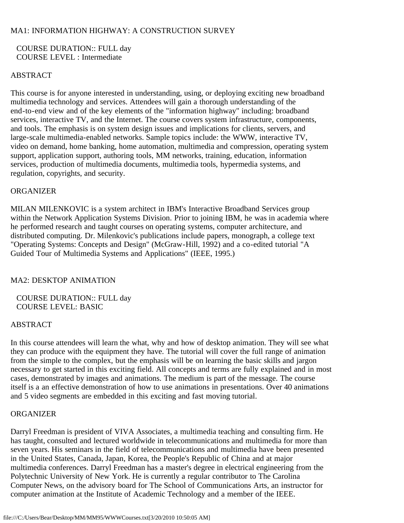# MA1: INFORMATION HIGHWAY: A CONSTRUCTION SURVEY

 COURSE DURATION:: FULL day COURSE LEVEL : Intermediate

# ABSTRACT

This course is for anyone interested in understanding, using, or deploying exciting new broadband multimedia technology and services. Attendees will gain a thorough understanding of the end-to-end view and of the key elements of the "information highway" including: broadband services, interactive TV, and the Internet. The course covers system infrastructure, components, and tools. The emphasis is on system design issues and implications for clients, servers, and large-scale multimedia-enabled networks. Sample topics include: the WWW, interactive TV, video on demand, home banking, home automation, multimedia and compression, operating system support, application support, authoring tools, MM networks, training, education, information services, production of multimedia documents, multimedia tools, hypermedia systems, and regulation, copyrights, and security.

## **ORGANIZER**

MILAN MILENKOVIC is a system architect in IBM's Interactive Broadband Services group within the Network Application Systems Division. Prior to joining IBM, he was in academia where he performed research and taught courses on operating systems, computer architecture, and distributed computing. Dr. Milenkovic's publications include papers, monograph, a college text "Operating Systems: Concepts and Design" (McGraw-Hill, 1992) and a co-edited tutorial "A Guided Tour of Multimedia Systems and Applications" (IEEE, 1995.)

# MA2: DESKTOP ANIMATION

 COURSE DURATION:: FULL day COURSE LEVEL: BASIC

## ABSTRACT

In this course attendees will learn the what, why and how of desktop animation. They will see what they can produce with the equipment they have. The tutorial will cover the full range of animation from the simple to the complex, but the emphasis will be on learning the basic skills and jargon necessary to get started in this exciting field. All concepts and terms are fully explained and in most cases, demonstrated by images and animations. The medium is part of the message. The course itself is a an effective demonstration of how to use animations in presentations. Over 40 animations and 5 video segments are embedded in this exciting and fast moving tutorial.

## ORGANIZER

Darryl Freedman is president of VIVA Associates, a multimedia teaching and consulting firm. He has taught, consulted and lectured worldwide in telecommunications and multimedia for more than seven years. His seminars in the field of telecommunications and multimedia have been presented in the United States, Canada, Japan, Korea, the People's Republic of China and at major multimedia conferences. Darryl Freedman has a master's degree in electrical engineering from the Polytechnic University of New York. He is currently a regular contributor to The Carolina Computer News, on the advisory board for The School of Communications Arts, an instructor for computer animation at the Institute of Academic Technology and a member of the IEEE.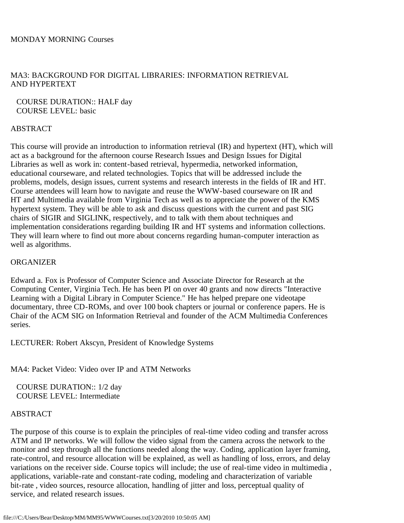# MA3: BACKGROUND FOR DIGITAL LIBRARIES: INFORMATION RETRIEVAL AND HYPERTEXT

 COURSE DURATION:: HALF day COURSE LEVEL: basic

# **ABSTRACT**

This course will provide an introduction to information retrieval (IR) and hypertext (HT), which will act as a background for the afternoon course Research Issues and Design Issues for Digital Libraries as well as work in: content-based retrieval, hypermedia, networked information, educational courseware, and related technologies. Topics that will be addressed include the problems, models, design issues, current systems and research interests in the fields of IR and HT. Course attendees will learn how to navigate and reuse the WWW-based courseware on IR and HT and Multimedia available from Virginia Tech as well as to appreciate the power of the KMS hypertext system. They will be able to ask and discuss questions with the current and past SIG chairs of SIGIR and SIGLINK, respectively, and to talk with them about techniques and implementation considerations regarding building IR and HT systems and information collections. They will learn where to find out more about concerns regarding human-computer interaction as well as algorithms.

## **ORGANIZER**

Edward a. Fox is Professor of Computer Science and Associate Director for Research at the Computing Center, Virginia Tech. He has been PI on over 40 grants and now directs "Interactive Learning with a Digital Library in Computer Science." He has helped prepare one videotape documentary, three CD-ROMs, and over 100 book chapters or journal or conference papers. He is Chair of the ACM SIG on Information Retrieval and founder of the ACM Multimedia Conferences series.

LECTURER: Robert Akscyn, President of Knowledge Systems

MA4: Packet Video: Video over IP and ATM Networks

 COURSE DURATION:: 1/2 day COURSE LEVEL: Intermediate

## ABSTRACT

The purpose of this course is to explain the principles of real-time video coding and transfer across ATM and IP networks. We will follow the video signal from the camera across the network to the monitor and step through all the functions needed along the way. Coding, application layer framing, rate-control, and resource allocation will be explained, as well as handling of loss, errors, and delay variations on the receiver side. Course topics will include; the use of real-time video in multimedia , applications, variable-rate and constant-rate coding, modeling and characterization of variable bit-rate , video sources, resource allocation, handling of jitter and loss, perceptual quality of service, and related research issues.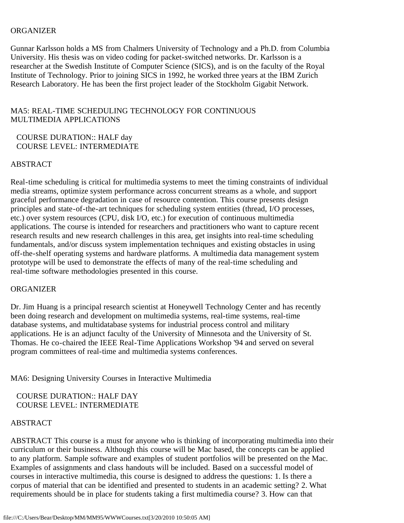### **ORGANIZER**

Gunnar Karlsson holds a MS from Chalmers University of Technology and a Ph.D. from Columbia University. His thesis was on video coding for packet-switched networks. Dr. Karlsson is a researcher at the Swedish Institute of Computer Science (SICS), and is on the faculty of the Royal Institute of Technology. Prior to joining SICS in 1992, he worked three years at the IBM Zurich Research Laboratory. He has been the first project leader of the Stockholm Gigabit Network.

# MA5: REAL-TIME SCHEDULING TECHNOLOGY FOR CONTINUOUS MULTIMEDIA APPLICATIONS

## COURSE DURATION:: HALF day COURSE LEVEL: INTERMEDIATE

## ABSTRACT

Real-time scheduling is critical for multimedia systems to meet the timing constraints of individual media streams, optimize system performance across concurrent streams as a whole, and support graceful performance degradation in case of resource contention. This course presents design principles and state-of-the-art techniques for scheduling system entities (thread, I/O processes, etc.) over system resources (CPU, disk I/O, etc.) for execution of continuous multimedia applications. The course is intended for researchers and practitioners who want to capture recent research results and new research challenges in this area, get insights into real-time scheduling fundamentals, and/or discuss system implementation techniques and existing obstacles in using off-the-shelf operating systems and hardware platforms. A multimedia data management system prototype will be used to demonstrate the effects of many of the real-time scheduling and real-time software methodologies presented in this course.

### ORGANIZER

Dr. Jim Huang is a principal research scientist at Honeywell Technology Center and has recently been doing research and development on multimedia systems, real-time systems, real-time database systems, and multidatabase systems for industrial process control and military applications. He is an adjunct faculty of the University of Minnesota and the University of St. Thomas. He co-chaired the IEEE Real-Time Applications Workshop '94 and served on several program committees of real-time and multimedia systems conferences.

MA6: Designing University Courses in Interactive Multimedia

 COURSE DURATION:: HALF DAY COURSE LEVEL: INTERMEDIATE

## ABSTRACT

ABSTRACT This course is a must for anyone who is thinking of incorporating multimedia into their curriculum or their business. Although this course will be Mac based, the concepts can be applied to any platform. Sample software and examples of student portfolios will be presented on the Mac. Examples of assignments and class handouts will be included. Based on a successful model of courses in interactive multimedia, this course is designed to address the questions: 1. Is there a corpus of material that can be identified and presented to students in an academic setting? 2. What requirements should be in place for students taking a first multimedia course? 3. How can that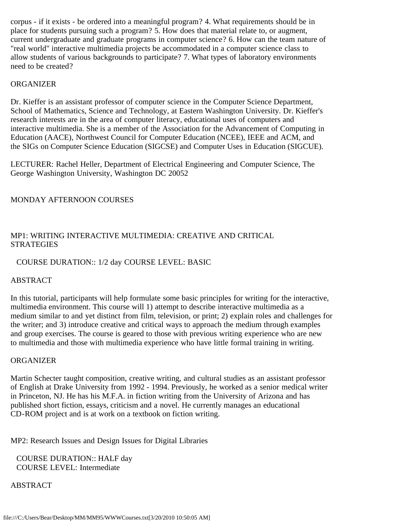corpus - if it exists - be ordered into a meaningful program? 4. What requirements should be in place for students pursuing such a program? 5. How does that material relate to, or augment, current undergraduate and graduate programs in computer science? 6. How can the team nature of "real world" interactive multimedia projects be accommodated in a computer science class to allow students of various backgrounds to participate? 7. What types of laboratory environments need to be created?

## **ORGANIZER**

Dr. Kieffer is an assistant professor of computer science in the Computer Science Department, School of Mathematics, Science and Technology, at Eastern Washington University. Dr. Kieffer's research interests are in the area of computer literacy, educational uses of computers and interactive multimedia. She is a member of the Association for the Advancement of Computing in Education (AACE), Northwest Council for Computer Education (NCEE), IEEE and ACM, and the SIGs on Computer Science Education (SIGCSE) and Computer Uses in Education (SIGCUE).

LECTURER: Rachel Heller, Department of Electrical Engineering and Computer Science, The George Washington University, Washington DC 20052

## MONDAY AFTERNOON COURSES

# MP1: WRITING INTERACTIVE MULTIMEDIA: CREATIVE AND CRITICAL **STRATEGIES**

## COURSE DURATION:: 1/2 day COURSE LEVEL: BASIC

### ABSTRACT

In this tutorial, participants will help formulate some basic principles for writing for the interactive, multimedia environment. This course will 1) attempt to describe interactive multimedia as a medium similar to and yet distinct from film, television, or print; 2) explain roles and challenges for the writer; and 3) introduce creative and critical ways to approach the medium through examples and group exercises. The course is geared to those with previous writing experience who are new to multimedia and those with multimedia experience who have little formal training in writing.

### **ORGANIZER**

Martin Schecter taught composition, creative writing, and cultural studies as an assistant professor of English at Drake University from 1992 - 1994. Previously, he worked as a senior medical writer in Princeton, NJ. He has his M.F.A. in fiction writing from the University of Arizona and has published short fiction, essays, criticism and a novel. He currently manages an educational CD-ROM project and is at work on a textbook on fiction writing.

MP2: Research Issues and Design Issues for Digital Libraries

 COURSE DURATION:: HALF day COURSE LEVEL: Intermediate

ABSTRACT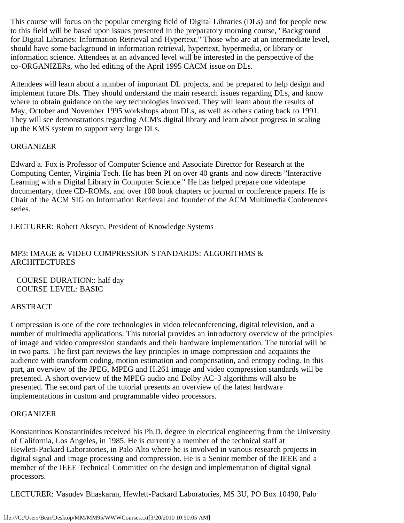This course will focus on the popular emerging field of Digital Libraries (DLs) and for people new to this field will be based upon issues presented in the preparatory morning course, "Background for Digital Libraries: Information Retrieval and Hypertext." Those who are at an intermediate level, should have some background in information retrieval, hypertext, hypermedia, or library or information science. Attendees at an advanced level will be interested in the perspective of the co-ORGANIZERs, who led editing of the April 1995 CACM issue on DLs.

Attendees will learn about a number of important DL projects, and be prepared to help design and implement future Dls. They should understand the main research issues regarding DLs, and know where to obtain guidance on the key technologies involved. They will learn about the results of May, October and November 1995 workshops about DLs, as well as others dating back to 1991. They will see demonstrations regarding ACM's digital library and learn about progress in scaling up the KMS system to support very large DLs.

# **ORGANIZER**

Edward a. Fox is Professor of Computer Science and Associate Director for Research at the Computing Center, Virginia Tech. He has been PI on over 40 grants and now directs "Interactive Learning with a Digital Library in Computer Science." He has helped prepare one videotape documentary, three CD-ROMs, and over 100 book chapters or journal or conference papers. He is Chair of the ACM SIG on Information Retrieval and founder of the ACM Multimedia Conferences series.

LECTURER: Robert Akscyn, President of Knowledge Systems

# MP3: IMAGE & VIDEO COMPRESSION STANDARDS: ALGORITHMS & ARCHITECTURES

 COURSE DURATION:: half day COURSE LEVEL: BASIC

# ABSTRACT

Compression is one of the core technologies in video teleconferencing, digital television, and a number of multimedia applications. This tutorial provides an introductory overview of the principles of image and video compression standards and their hardware implementation. The tutorial will be in two parts. The first part reviews the key principles in image compression and acquaints the audience with transform coding, motion estimation and compensation, and entropy coding. In this part, an overview of the JPEG, MPEG and H.261 image and video compression standards will be presented. A short overview of the MPEG audio and Dolby AC-3 algorithms will also be presented. The second part of the tutorial presents an overview of the latest hardware implementations in custom and programmable video processors.

## ORGANIZER

Konstantinos Konstantinides received his Ph.D. degree in electrical engineering from the University of California, Los Angeles, in 1985. He is currently a member of the technical staff at Hewlett-Packard Laboratories, in Palo Alto where he is involved in various research projects in digital signal and image processing and compression. He is a Senior member of the IEEE and a member of the IEEE Technical Committee on the design and implementation of digital signal processors.

LECTURER: Vasudev Bhaskaran, Hewlett-Packard Laboratories, MS 3U, PO Box 10490, Palo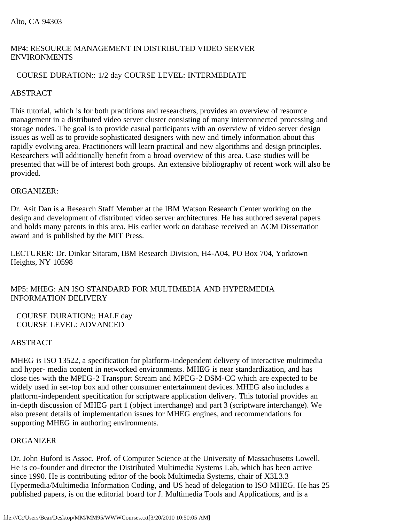# MP4: RESOURCE MANAGEMENT IN DISTRIBUTED VIDEO SERVER ENVIRONMENTS

# COURSE DURATION:: 1/2 day COURSE LEVEL: INTERMEDIATE

# ABSTRACT

This tutorial, which is for both practitions and researchers, provides an overview of resource management in a distributed video server cluster consisting of many interconnected processing and storage nodes. The goal is to provide casual participants with an overview of video server design issues as well as to provide sophisticated designers with new and timely information about this rapidly evolving area. Practitioners will learn practical and new algorithms and design principles. Researchers will additionally benefit from a broad overview of this area. Case studies will be presented that will be of interest both groups. An extensive bibliography of recent work will also be provided.

# ORGANIZER:

Dr. Asit Dan is a Research Staff Member at the IBM Watson Research Center working on the design and development of distributed video server architectures. He has authored several papers and holds many patents in this area. His earlier work on database received an ACM Dissertation award and is published by the MIT Press.

LECTURER: Dr. Dinkar Sitaram, IBM Research Division, H4-A04, PO Box 704, Yorktown Heights, NY 10598

# MP5: MHEG: AN ISO STANDARD FOR MULTIMEDIA AND HYPERMEDIA INFORMATION DELIVERY

 COURSE DURATION:: HALF day COURSE LEVEL: ADVANCED

# ABSTRACT

MHEG is ISO 13522, a specification for platform-independent delivery of interactive multimedia and hyper- media content in networked environments. MHEG is near standardization, and has close ties with the MPEG-2 Transport Stream and MPEG-2 DSM-CC which are expected to be widely used in set-top box and other consumer entertainment devices. MHEG also includes a platform-independent specification for scriptware application delivery. This tutorial provides an in-depth discussion of MHEG part 1 (object interchange) and part 3 (scriptware interchange). We also present details of implementation issues for MHEG engines, and recommendations for supporting MHEG in authoring environments.

## **ORGANIZER**

Dr. John Buford is Assoc. Prof. of Computer Science at the University of Massachusetts Lowell. He is co-founder and director the Distributed Multimedia Systems Lab, which has been active since 1990. He is contributing editor of the book Multimedia Systems, chair of X3L3.3 Hypermedia/Multimedia Information Coding, and US head of delegation to ISO MHEG. He has 25 published papers, is on the editorial board for J. Multimedia Tools and Applications, and is a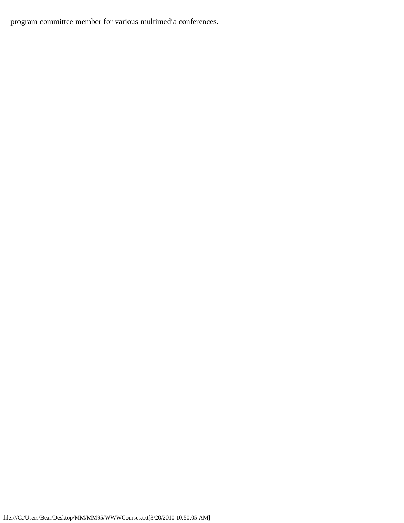program committee member for various multimedia conferences.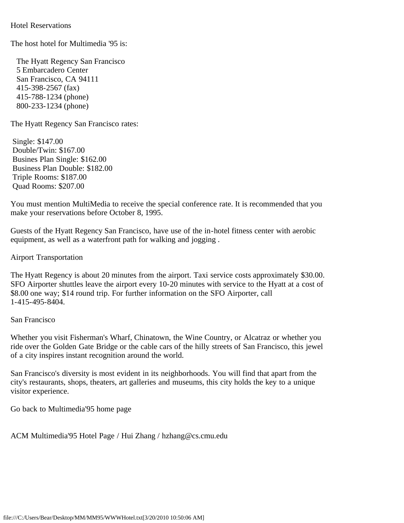<span id="page-30-0"></span>Hotel Reservations

The host hotel for Multimedia '95 is:

 The Hyatt Regency San Francisco 5 Embarcadero Center San Francisco, CA 94111 415-398-2567 (fax) 415-788-1234 (phone) 800-233-1234 (phone)

The Hyatt Regency San Francisco rates:

 Single: \$147.00 Double/Twin: \$167.00 Busines Plan Single: \$162.00 Business Plan Double: \$182.00 Triple Rooms: \$187.00 Quad Rooms: \$207.00

You must mention MultiMedia to receive the special conference rate. It is recommended that you make your reservations before October 8, 1995.

Guests of the Hyatt Regency San Francisco, have use of the in-hotel fitness center with aerobic equipment, as well as a waterfront path for walking and jogging .

Airport Transportation

The Hyatt Regency is about 20 minutes from the airport. Taxi service costs approximately \$30.00. SFO Airporter shuttles leave the airport every 10-20 minutes with service to the Hyatt at a cost of \$8.00 one way; \$14 round trip. For further information on the SFO Airporter, call 1-415-495-8404.

San Francisco

Whether you visit Fisherman's Wharf, Chinatown, the Wine Country, or Alcatraz or whether you ride over the Golden Gate Bridge or the cable cars of the hilly streets of San Francisco, this jewel of a city inspires instant recognition around the world.

San Francisco's diversity is most evident in its neighborhoods. You will find that apart from the city's restaurants, shops, theaters, art galleries and museums, this city holds the key to a unique visitor experience.

Go back to Multimedia'95 home page

ACM Multimedia'95 Hotel Page / Hui Zhang / hzhang@cs.cmu.edu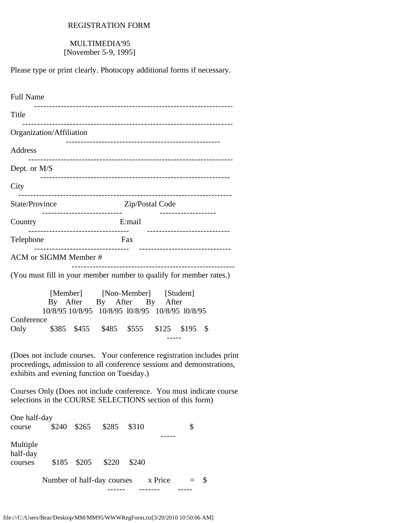# REGISTRATION FORM

# MULTIMEDIA'95 [November 5-9, 1995]

<span id="page-31-0"></span>Please type or print clearly. Photocopy additional forms if necessary.

| <b>Full Name</b>                                                                                                                                                                              |       |       |                                                             |        |                                                                                                                                                            |    |
|-----------------------------------------------------------------------------------------------------------------------------------------------------------------------------------------------|-------|-------|-------------------------------------------------------------|--------|------------------------------------------------------------------------------------------------------------------------------------------------------------|----|
| Title                                                                                                                                                                                         |       |       |                                                             |        |                                                                                                                                                            |    |
| Organization/Affiliation                                                                                                                                                                      |       |       |                                                             |        |                                                                                                                                                            |    |
| Address                                                                                                                                                                                       |       |       | ------------------------------                              |        |                                                                                                                                                            |    |
| Dept. or M/S                                                                                                                                                                                  |       |       |                                                             |        |                                                                                                                                                            |    |
| City                                                                                                                                                                                          |       |       |                                                             |        |                                                                                                                                                            |    |
| State/Province                                                                                                                                                                                |       |       |                                                             |        | Zip/Postal Code                                                                                                                                            |    |
| Country                                                                                                                                                                                       |       |       | ------------------------<br>------------------------------- | E:mail |                                                                                                                                                            |    |
| Telephone                                                                                                                                                                                     |       |       |                                                             | Fax    |                                                                                                                                                            |    |
| ACM or SIGMM Member #                                                                                                                                                                         |       |       | __________________________                                  |        |                                                                                                                                                            |    |
| (You must fill in your member number to qualify for member rates.)                                                                                                                            |       |       |                                                             |        |                                                                                                                                                            |    |
| Conference<br>Only                                                                                                                                                                            |       |       |                                                             |        | [Member] [Non-Member] [Student]<br>By After By After By After<br>10/8/95 10/8/95 10/8/95 10/8/95 10/8/95 10/8/95<br>\$385 \$455 \$485 \$555 \$125 \$195 \$ |    |
| (Does not include courses. Your conference registration includes print<br>proceedings, admission to all conference sessions and demonstrations,<br>exhibits and evening function on Tuesday.) |       |       |                                                             |        |                                                                                                                                                            |    |
| Courses Only (Does not include conference. You must indicate course<br>selections in the COURSE SELECTIONS section of this form)                                                              |       |       |                                                             |        |                                                                                                                                                            |    |
| One half-day<br>course                                                                                                                                                                        | \$240 | \$265 | \$285                                                       | \$310  |                                                                                                                                                            | \$ |
| Multiple<br>half-day<br>courses                                                                                                                                                               | \$185 | \$205 | \$220                                                       | \$240  |                                                                                                                                                            |    |
|                                                                                                                                                                                               |       |       | Number of half-day courses                                  |        | x Price                                                                                                                                                    | \$ |

------ ------- -----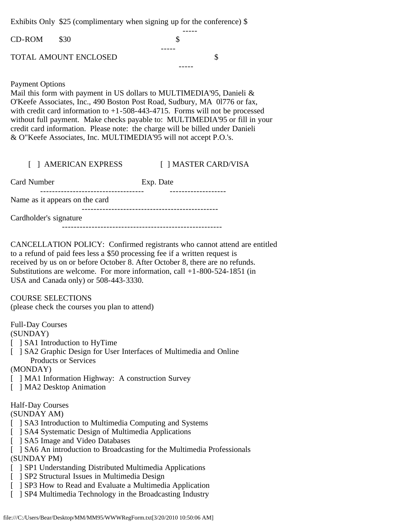Exhibits Only \$25 (complimentary when signing up for the conference) \$

| $CD-ROM$ \$30 |                              |  |  |
|---------------|------------------------------|--|--|
|               |                              |  |  |
|               | <b>TOTAL AMOUNT ENCLOSED</b> |  |  |
|               |                              |  |  |

## Payment Options

Mail this form with payment in US dollars to MULTIMEDIA'95, Danieli & O'Keefe Associates, Inc., 490 Boston Post Road, Sudbury, MA 0l776 or fax, with credit card information to  $+1-508-443-4715$ . Forms will not be processed without full payment. Make checks payable to: MULTIMEDIA'95 or fill in your credit card information. Please note: the charge will be billed under Danieli & O"Keefe Associates, Inc. MULTIMEDIA'95 will not accept P.O.'s.

| [ ] AMERICAN EXPRESS | [ ] MASTER CARD/VISA |
|----------------------|----------------------|
| Card Number          | Exp. Date            |

 ----------------------------------- ------------------- Name as it appears on the card ---------------------------------------------- Cardholder's signature

------------------------------------------------------

CANCELLATION POLICY: Confirmed registrants who cannot attend are entitled to a refund of paid fees less a \$50 processing fee if a written request is received by us on or before October 8. After October 8, there are no refunds. Substitutions are welcome. For more information, call +1-800-524-1851 (in USA and Canada only) or 508-443-3330.

COURSE SELECTIONS (please check the courses you plan to attend)

Full-Day Courses

(SUNDAY)

- [ ] SA1 Introduction to HyTime
- [ ] SA2 Graphic Design for User Interfaces of Multimedia and Online Products or Services

(MONDAY)

[ ] MA1 Information Highway: A construction Survey

[ ] MA2 Desktop Animation

## Half-Day Courses

(SUNDAY AM)

- [ ] SA3 Introduction to Multimedia Computing and Systems
- [ ] SA4 Systematic Design of Multimedia Applications
- [ ] SA5 Image and Video Databases
- [ ] SA6 An introduction to Broadcasting for the Multimedia Professionals (SUNDAY PM)
- [ ] SP1 Understanding Distributed Multimedia Applications
- [ ] SP2 Structural Issues in Multimedia Design
- [ ] SP3 How to Read and Evaluate a Multimedia Application
- [ ] SP4 Multimedia Technology in the Broadcasting Industry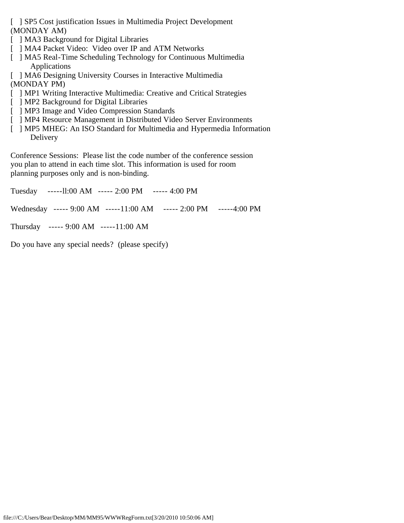[ ] SP5 Cost justification Issues in Multimedia Project Development (MONDAY AM)

- [ ] MA3 Background for Digital Libraries
- [ ] MA4 Packet Video: Video over IP and ATM Networks
- [ ] MA5 Real-Time Scheduling Technology for Continuous Multimedia Applications
- [ ] MA6 Designing University Courses in Interactive Multimedia
- (MONDAY PM)
- [ ] MP1 Writing Interactive Multimedia: Creative and Critical Strategies
- [ ] MP2 Background for Digital Libraries
- [ ] MP3 Image and Video Compression Standards
- [ ] MP4 Resource Management in Distributed Video Server Environments
- [ ] MP5 MHEG: An ISO Standard for Multimedia and Hypermedia Information Delivery

Conference Sessions: Please list the code number of the conference session you plan to attend in each time slot. This information is used for room planning purposes only and is non-binding.

| Tuesday -----11:00 AM ----- 2:00 PM ----- 4:00 PM |                                                                  |  |
|---------------------------------------------------|------------------------------------------------------------------|--|
|                                                   | Wednesday ----- 9:00 AM -----11:00 AM ----- 2:00 PM -----4:00 PM |  |
| Thursday ----- 9:00 AM -----11:00 AM              |                                                                  |  |

Do you have any special needs? (please specify)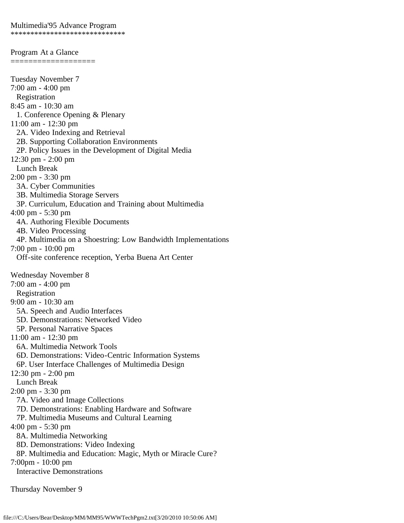<span id="page-34-0"></span>Program At a Glance =================== Tuesday November 7 7:00 am - 4:00 pm Registration 8:45 am - 10:30 am 1. Conference Opening & Plenary 11:00 am - 12:30 pm 2A. Video Indexing and Retrieval 2B. Supporting Collaboration Environments 2P. Policy Issues in the Development of Digital Media 12:30 pm - 2:00 pm Lunch Break 2:00 pm - 3:30 pm 3A. Cyber Communities 3B. Multimedia Storage Servers 3P. Curriculum, Education and Training about Multimedia 4:00 pm - 5:30 pm 4A. Authoring Flexible Documents 4B. Video Processing 4P. Multimedia on a Shoestring: Low Bandwidth Implementations 7:00 pm - 10:00 pm Off-site conference reception, Yerba Buena Art Center Wednesday November 8 7:00 am - 4:00 pm Registration 9:00 am - 10:30 am 5A. Speech and Audio Interfaces 5D. Demonstrations: Networked Video 5P. Personal Narrative Spaces 11:00 am - 12:30 pm 6A. Multimedia Network Tools 6D. Demonstrations: Video-Centric Information Systems 6P. User Interface Challenges of Multimedia Design 12:30 pm - 2:00 pm Lunch Break 2:00 pm - 3:30 pm 7A. Video and Image Collections 7D. Demonstrations: Enabling Hardware and Software 7P. Multimedia Museums and Cultural Learning 4:00 pm - 5:30 pm 8A. Multimedia Networking 8D. Demonstrations: Video Indexing 8P. Multimedia and Education: Magic, Myth or Miracle Cure? 7:00pm - 10:00 pm Interactive Demonstrations

Thursday November 9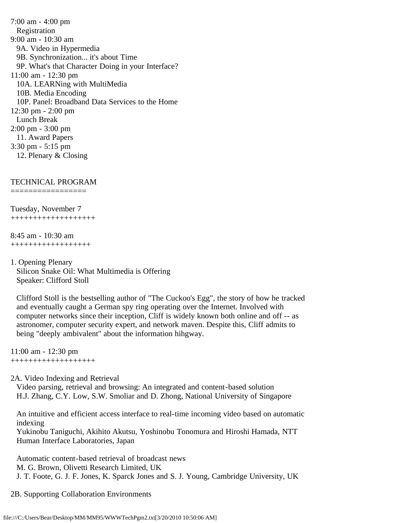7:00 am - 4:00 pm Registration 9:00 am - 10:30 am 9A. Video in Hypermedia 9B. Synchronization... it's about Time 9P. What's that Character Doing in your Interface? 11:00 am - 12:30 pm 10A. LEARNing with MultiMedia 10B. Media Encoding 10P. Panel: Broadband Data Services to the Home 12:30 pm - 2:00 pm Lunch Break 2:00 pm - 3:00 pm 11. Award Papers 3:30 pm - 5:15 pm 12. Plenary & Closing

### TECHNICAL PROGRAM

=================

Tuesday, November 7 +++++++++++++++++++

8:45 am - 10:30 am ++++++++++++++++++

1. Opening Plenary Silicon Snake Oil: What Multimedia is Offering Speaker: Clifford Stoll

 Clifford Stoll is the bestselling author of "The Cuckoo's Egg", the story of how he tracked and eventually caught a German spy ring operating over the Internet. Involved with computer networks since their inception, Cliff is widely known both online and off -- as astronomer, computer security expert, and network maven. Despite this, Cliff admits to being "deeply ambivalent" about the information hihgway.

11:00 am - 12:30 pm +++++++++++++++++++

2A. Video Indexing and Retrieval

 Video parsing, retrieval and browsing: An integrated and content-based solution H.J. Zhang, C.Y. Low, S.W. Smoliar and D. Zhong, National University of Singapore

 An intuitive and efficient access interface to real-time incoming video based on automatic indexing

 Yukinobu Taniguchi, Akihito Akutsu, Yoshinobu Tonomura and Hiroshi Hamada, NTT Human Interface Laboratories, Japan

Automatic content-based retrieval of broadcast news

M. G. Brown, Olivetti Research Limited, UK

J. T. Foote, G. J. F. Jones, K. Sparck Jones and S. J. Young, Cambridge University, UK

2B. Supporting Collaboration Environments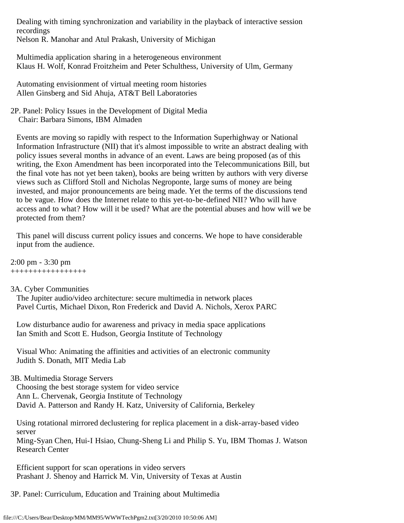Dealing with timing synchronization and variability in the playback of interactive session recordings Nelson R. Manohar and Atul Prakash, University of Michigan

 Multimedia application sharing in a heterogeneous environment Klaus H. Wolf, Konrad Froitzheim and Peter Schulthess, University of Ulm, Germany

 Automating envisionment of virtual meeting room histories Allen Ginsberg and Sid Ahuja, AT&T Bell Laboratories

2P. Panel: Policy Issues in the Development of Digital Media Chair: Barbara Simons, IBM Almaden

 Events are moving so rapidly with respect to the Information Superhighway or National Information Infrastructure (NII) that it's almost impossible to write an abstract dealing with policy issues several months in advance of an event. Laws are being proposed (as of this writing, the Exon Amendment has been incorporated into the Telecommunications Bill, but the final vote has not yet been taken), books are being written by authors with very diverse views such as Clifford Stoll and Nicholas Negroponte, large sums of money are being invested, and major pronouncements are being made. Yet the terms of the discussions tend to be vague. How does the Internet relate to this yet-to-be-defined NII? Who will have access and to what? How will it be used? What are the potential abuses and how will we be protected from them?

 This panel will discuss current policy issues and concerns. We hope to have considerable input from the audience.

2:00 pm - 3:30 pm +++++++++++++++++

# 3A. Cyber Communities

 The Jupiter audio/video architecture: secure multimedia in network places Pavel Curtis, Michael Dixon, Ron Frederick and David A. Nichols, Xerox PARC

 Low disturbance audio for awareness and privacy in media space applications Ian Smith and Scott E. Hudson, Georgia Institute of Technology

 Visual Who: Animating the affinities and activities of an electronic community Judith S. Donath, MIT Media Lab

# 3B. Multimedia Storage Servers

 Choosing the best storage system for video service Ann L. Chervenak, Georgia Institute of Technology David A. Patterson and Randy H. Katz, University of California, Berkeley

 Using rotational mirrored declustering for replica placement in a disk-array-based video server Ming-Syan Chen, Hui-I Hsiao, Chung-Sheng Li and Philip S. Yu, IBM Thomas J. Watson Research Center

 Efficient support for scan operations in video servers Prashant J. Shenoy and Harrick M. Vin, University of Texas at Austin

3P. Panel: Curriculum, Education and Training about Multimedia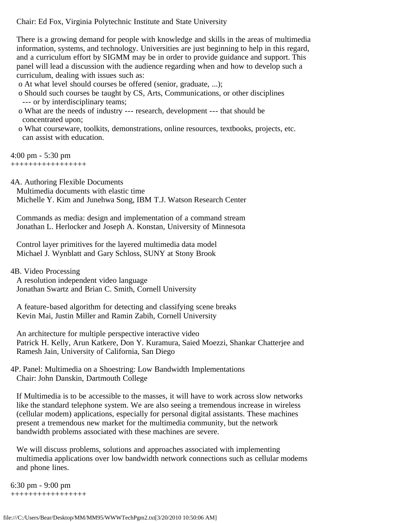Chair: Ed Fox, Virginia Polytechnic Institute and State University

 There is a growing demand for people with knowledge and skills in the areas of multimedia information, systems, and technology. Universities are just beginning to help in this regard, and a curriculum effort by SIGMM may be in order to provide guidance and support. This panel will lead a discussion with the audience regarding when and how to develop such a curriculum, dealing with issues such as:

o At what level should courses be offered (senior, graduate, ...);

- o Should such courses be taught by CS, Arts, Communications, or other disciplines --- or by interdisciplinary teams;
- o What are the needs of industry --- research, development --- that should be concentrated upon;
- o What courseware, toolkits, demonstrations, online resources, textbooks, projects, etc. can assist with education.

4:00 pm - 5:30 pm +++++++++++++++++

4A. Authoring Flexible Documents

Multimedia documents with elastic time

Michelle Y. Kim and Junehwa Song, IBM T.J. Watson Research Center

 Commands as media: design and implementation of a command stream Jonathan L. Herlocker and Joseph A. Konstan, University of Minnesota

 Control layer primitives for the layered multimedia data model Michael J. Wynblatt and Gary Schloss, SUNY at Stony Brook

4B. Video Processing

 A resolution independent video language Jonathan Swartz and Brian C. Smith, Cornell University

 A feature-based algorithm for detecting and classifying scene breaks Kevin Mai, Justin Miller and Ramin Zabih, Cornell University

 An architecture for multiple perspective interactive video Patrick H. Kelly, Arun Katkere, Don Y. Kuramura, Saied Moezzi, Shankar Chatterjee and Ramesh Jain, University of California, San Diego

4P. Panel: Multimedia on a Shoestring: Low Bandwidth Implementations Chair: John Danskin, Dartmouth College

 If Multimedia is to be accessible to the masses, it will have to work across slow networks like the standard telephone system. We are also seeing a tremendous increase in wireless (cellular modem) applications, especially for personal digital assistants. These machines present a tremendous new market for the multimedia community, but the network bandwidth problems associated with these machines are severe.

 We will discuss problems, solutions and approaches associated with implementing multimedia applications over low bandwidth network connections such as cellular modems and phone lines.

6:30 pm - 9:00 pm +++++++++++++++++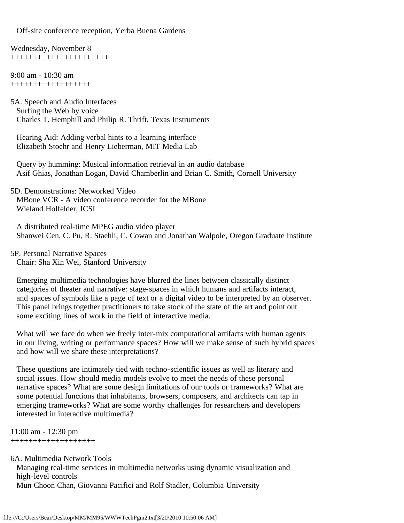Off-site conference reception, Yerba Buena Gardens

Wednesday, November 8 ++++++++++++++++++++++

9:00 am - 10:30 am ++++++++++++++++++

5A. Speech and Audio Interfaces Surfing the Web by voice Charles T. Hemphill and Philip R. Thrift, Texas Instruments

 Hearing Aid: Adding verbal hints to a learning interface Elizabeth Stoehr and Henry Lieberman, MIT Media Lab

 Query by humming: Musical information retrieval in an audio database Asif Ghias, Jonathan Logan, David Chamberlin and Brian C. Smith, Cornell University

5D. Demonstrations: Networked Video MBone VCR - A video conference recorder for the MBone Wieland Holfelder, ICSI

 A distributed real-time MPEG audio video player Shanwei Cen, C. Pu, R. Staehli, C. Cowan and Jonathan Walpole, Oregon Graduate Institute

5P. Personal Narrative Spaces Chair: Sha Xin Wei, Stanford University

 Emerging multimedia technologies have blurred the lines between classically distinct categories of theater and narrative: stage-spaces in which humans and artifacts interact, and spaces of symbols like a page of text or a digital video to be interpreted by an observer. This panel brings together practitioners to take stock of the state of the art and point out some exciting lines of work in the field of interactive media.

 What will we face do when we freely inter-mix computational artifacts with human agents in our living, writing or performance spaces? How will we make sense of such hybrid spaces and how will we share these interpretations?

 These questions are intimately tied with techno-scientific issues as well as literary and social issues. How should media models evolve to meet the needs of these personal narrative spaces? What are some design limitations of our tools or frameworks? What are some potential functions that inhabitants, browsers, composers, and architects can tap in emerging frameworks? What are some worthy challenges for researchers and developers interested in interactive multimedia?

11:00 am - 12:30 pm +++++++++++++++++++

6A. Multimedia Network Tools

 Managing real-time services in multimedia networks using dynamic visualization and high-level controls Mun Choon Chan, Giovanni Pacifici and Rolf Stadler, Columbia University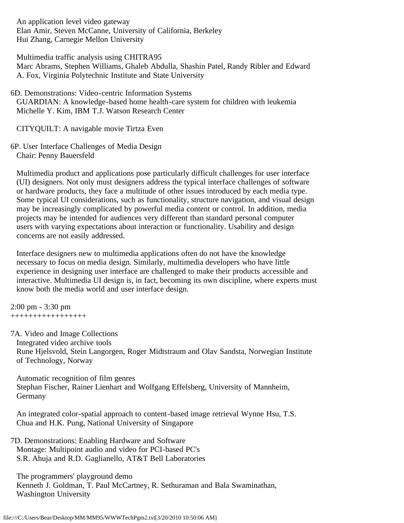An application level video gateway Elan Amir, Steven McCanne, University of California, Berkeley Hui Zhang, Carnegie Mellon University

 Multimedia traffic analysis using CHITRA95 Marc Abrams, Stephen Williams, Ghaleb Abdulla, Shashin Patel, Randy Ribler and Edward A. Fox, Virginia Polytechnic Institute and State University

6D. Demonstrations: Video-centric Information Systems GUARDIAN: A knowledge-based home health-care system for children with leukemia Michelle Y. Kim, IBM T.J. Watson Research Center

CITYQUILT: A navigable movie Tirtza Even

6P. User Interface Challenges of Media Design Chair: Penny Bauersfeld

 Multimedia product and applications pose particularly difficult challenges for user interface (UI) designers. Not only must designers address the typical interface challenges of software or hardware products, they face a multitude of other issues introduced by each media type. Some typical UI considerations, such as functionality, structure navigation, and visual design may be increasingly complicated by powerful media content or control. In addition, media projects may be intended for audiences very different than standard personal computer users with varying expectations about interaction or functionality. Usability and design concerns are not easily addressed.

 Interface designers new to multimedia applications often do not have the knowledge necessary to focus on media design. Similarly, multimedia developers who have little experience in designing user interface are challenged to make their products accessible and interactive. Multimedia UI design is, in fact, becoming its own discipline, where experts must know both the media world and user interface design.

2:00 pm - 3:30 pm +++++++++++++++++

7A. Video and Image Collections Integrated video archive tools Rune Hjelsvold, Stein Langorgen, Roger Midtstraum and Olav Sandsta, Norwegian Institute of Technology, Norway

 Automatic recognition of film genres Stephan Fischer, Rainer Lienhart and Wolfgang Effelsberg, University of Mannheim, Germany

 An integrated color-spatial approach to content-based image retrieval Wynne Hsu, T.S. Chua and H.K. Pung, National University of Singapore

7D. Demonstrations: Enabling Hardware and Software Montage: Multipoint audio and video for PCI-based PC's S.R. Ahuja and R.D. Gaglianello, AT&T Bell Laboratories

 The programmers' playground demo Kenneth J. Goldman, T. Paul McCartney, R. Sethuraman and Bala Swaminathan, Washington University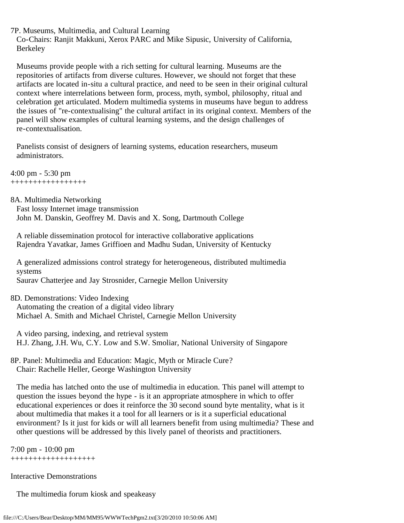7P. Museums, Multimedia, and Cultural Learning

 Co-Chairs: Ranjit Makkuni, Xerox PARC and Mike Sipusic, University of California, Berkeley

 Museums provide people with a rich setting for cultural learning. Museums are the repositories of artifacts from diverse cultures. However, we should not forget that these artifacts are located in-situ a cultural practice, and need to be seen in their original cultural context where interrelations between form, process, myth, symbol, philosophy, ritual and celebration get articulated. Modern multimedia systems in museums have begun to address the issues of "re-contextualising" the cultural artifact in its original context. Members of the panel will show examples of cultural learning systems, and the design challenges of re-contextualisation.

 Panelists consist of designers of learning systems, education researchers, museum administrators.

4:00 pm - 5:30 pm +++++++++++++++++

8A. Multimedia Networking

 Fast lossy Internet image transmission John M. Danskin, Geoffrey M. Davis and X. Song, Dartmouth College

 A reliable dissemination protocol for interactive collaborative applications Rajendra Yavatkar, James Griffioen and Madhu Sudan, University of Kentucky

 A generalized admissions control strategy for heterogeneous, distributed multimedia systems Saurav Chatterjee and Jay Strosnider, Carnegie Mellon University

8D. Demonstrations: Video Indexing Automating the creation of a digital video library Michael A. Smith and Michael Christel, Carnegie Mellon University

 A video parsing, indexing, and retrieval system H.J. Zhang, J.H. Wu, C.Y. Low and S.W. Smoliar, National University of Singapore

8P. Panel: Multimedia and Education: Magic, Myth or Miracle Cure? Chair: Rachelle Heller, George Washington University

 The media has latched onto the use of multimedia in education. This panel will attempt to question the issues beyond the hype - is it an appropriate atmosphere in which to offer educational experiences or does it reinforce the 30 second sound byte mentality, what is it about multimedia that makes it a tool for all learners or is it a superficial educational environment? Is it just for kids or will all learners benefit from using multimedia? These and other questions will be addressed by this lively panel of theorists and practitioners.

7:00 pm - 10:00 pm +++++++++++++++++++

Interactive Demonstrations

The multimedia forum kiosk and speakeasy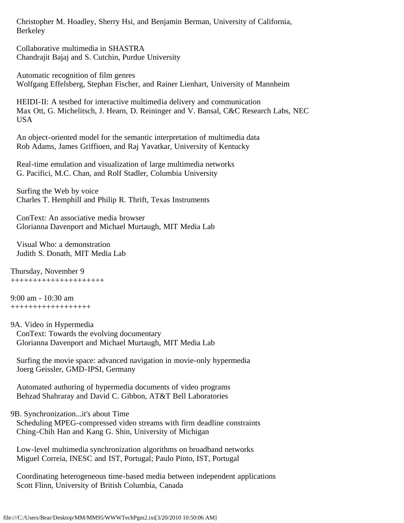Christopher M. Hoadley, Sherry Hsi, and Benjamin Berman, University of California, Berkeley

 Collaborative multimedia in SHASTRA Chandrajit Bajaj and S. Cutchin, Purdue University

 Automatic recognition of film genres Wolfgang Effelsberg, Stephan Fischer, and Rainer Lienhart, University of Mannheim

 HEIDI-II: A testbed for interactive multimedia delivery and communication Max Ott, G. Michelitsch, J. Hearn, D. Reininger and V. Bansal, C&C Research Labs, NEC USA

 An object-oriented model for the semantic interpretation of multimedia data Rob Adams, James Griffioen, and Raj Yavatkar, University of Kentucky

 Real-time emulation and visualization of large multimedia networks G. Pacifici, M.C. Chan, and Rolf Stadler, Columbia University

 Surfing the Web by voice Charles T. Hemphill and Philip R. Thrift, Texas Instruments

 ConText: An associative media browser Glorianna Davenport and Michael Murtaugh, MIT Media Lab

 Visual Who: a demonstration Judith S. Donath, MIT Media Lab

Thursday, November 9 +++++++++++++++++++++

9:00 am - 10:30 am ++++++++++++++++++

9A. Video in Hypermedia

 ConText: Towards the evolving documentary Glorianna Davenport and Michael Murtaugh, MIT Media Lab

 Surfing the movie space: advanced navigation in movie-only hypermedia Joerg Geissler, GMD-IPSI, Germany

 Automated authoring of hypermedia documents of video programs Behzad Shahraray and David C. Gibbon, AT&T Bell Laboratories

9B. Synchronization...it's about Time

 Scheduling MPEG-compressed video streams with firm deadline constraints Ching-Chih Han and Kang G. Shin, University of Michigan

 Low-level multimedia synchronization algorithms on broadband networks Miguel Correia, INESC and IST, Portugal; Paulo Pinto, IST, Portugal

 Coordinating heterogeneous time-based media between independent applications Scott Flinn, University of British Columbia, Canada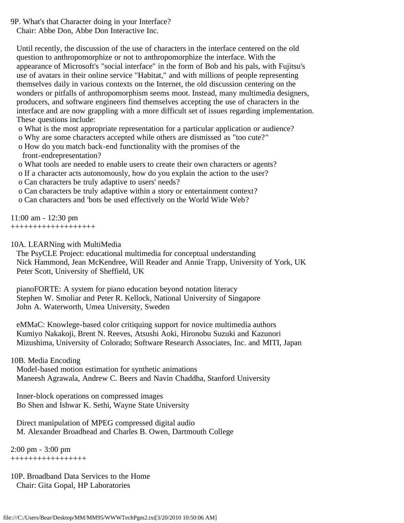9P. What's that Character doing in your Interface?

Chair: Abbe Don, Abbe Don Interactive Inc.

 Until recently, the discussion of the use of characters in the interface centered on the old question to anthropomorphize or not to anthropomorphize the interface. With the appearance of Microsoft's "social interface" in the form of Bob and his pals, with Fujitsu's use of avatars in their online service "Habitat," and with millions of people representing themselves daily in various contexts on the Internet, the old discussion centering on the wonders or pitfalls of anthropomorphism seems moot. Instead, many multimedia designers, producers, and software engineers find themselves accepting the use of characters in the interface and are now grappling with a more difficult set of issues regarding implementation. These questions include:

- o What is the most appropriate representation for a particular application or audience?
- o Why are some characters accepted while others are dismissed as "too cute?"
- o How do you match back-end functionality with the promises of the front-endrepresentation?
- o What tools are needed to enable users to create their own characters or agents?
- o If a character acts autonomously, how do you explain the action to the user?
- o Can characters be truly adaptive to users' needs?
- o Can characters be truly adaptive within a story or entertainment context?
- o Can characters and 'bots be used effectively on the World Wide Web?

11:00 am - 12:30 pm +++++++++++++++++++

10A. LEARNing with MultiMedia

 The PsyCLE Project: educational multimedia for conceptual understanding Nick Hammond, Jean McKendree, Will Reader and Annie Trapp, University of York, UK Peter Scott, University of Sheffield, UK

 pianoFORTE: A system for piano education beyond notation literacy Stephen W. Smoliar and Peter R. Kellock, National University of Singapore John A. Waterworth, Umea University, Sweden

 eMMaC: Knowlege-based color critiquing support for novice multimedia authors Kumiyo Nakakoji, Brent N. Reeves, Atsushi Aoki, Hironobu Suzuki and Kazunori Mizushima, University of Colorado; Software Research Associates, Inc. and MITI, Japan

10B. Media Encoding

 Model-based motion estimation for synthetic animations Maneesh Agrawala, Andrew C. Beers and Navin Chaddha, Stanford University

 Inner-block operations on compressed images Bo Shen and Ishwar K. Sethi, Wayne State University

 Direct manipulation of MPEG compressed digital audio M. Alexander Broadhead and Charles B. Owen, Dartmouth College

2:00 pm - 3:00 pm +++++++++++++++++

10P. Broadband Data Services to the Home Chair: Gita Gopal, HP Laboratories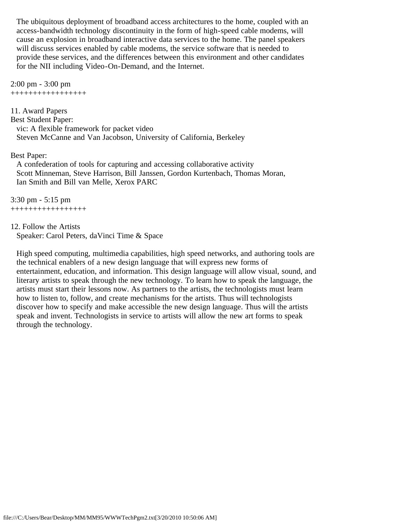The ubiquitous deployment of broadband access architectures to the home, coupled with an access-bandwidth technology discontinuity in the form of high-speed cable modems, will cause an explosion in broadband interactive data services to the home. The panel speakers will discuss services enabled by cable modems, the service software that is needed to provide these services, and the differences between this environment and other candidates for the NII including Video-On-Demand, and the Internet.

2:00 pm - 3:00 pm +++++++++++++++++

11. Award Papers Best Student Paper: vic: A flexible framework for packet video Steven McCanne and Van Jacobson, University of California, Berkeley

### Best Paper:

 A confederation of tools for capturing and accessing collaborative activity Scott Minneman, Steve Harrison, Bill Janssen, Gordon Kurtenbach, Thomas Moran, Ian Smith and Bill van Melle, Xerox PARC

3:30 pm - 5:15 pm +++++++++++++++++

### 12. Follow the Artists

Speaker: Carol Peters, daVinci Time & Space

 High speed computing, multimedia capabilities, high speed networks, and authoring tools are the technical enablers of a new design language that will express new forms of entertainment, education, and information. This design language will allow visual, sound, and literary artists to speak through the new technology. To learn how to speak the language, the artists must start their lessons now. As partners to the artists, the technologists must learn how to listen to, follow, and create mechanisms for the artists. Thus will technologists discover how to specify and make accessible the new design language. Thus will the artists speak and invent. Technologists in service to artists will allow the new art forms to speak through the technology.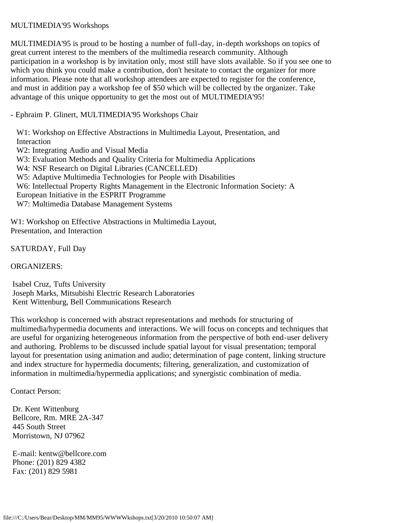# <span id="page-44-0"></span>MULTIMEDIA'95 Workshops

MULTIMEDIA'95 is proud to be hosting a number of full-day, in-depth workshops on topics of great current interest to the members of the multimedia research community. Although participation in a workshop is by invitation only, most still have slots available. So if you see one to which you think you could make a contribution, don't hesitate to contact the organizer for more information. Please note that all workshop attendees are expected to register for the conference, and must in addition pay a workshop fee of \$50 which will be collected by the organizer. Take advantage of this unique opportunity to get the most out of MULTIMEDIA'95!

- Ephraim P. Glinert, MULTIMEDIA'95 Workshops Chair

 W1: Workshop on Effective Abstractions in Multimedia Layout, Presentation, and Interaction W2: Integrating Audio and Visual Media W3: Evaluation Methods and Quality Criteria for Multimedia Applications

W4: NSF Research on Digital Libraries (CANCELLED)

W5: Adaptive Multimedia Technologies for People with Disabilities

W6: Intellectual Property Rights Management in the Electronic Information Society: A

European Initiative in the ESPRIT Programme

W7: Multimedia Database Management Systems

W1: Workshop on Effective Abstractions in Multimedia Layout, Presentation, and Interaction

SATURDAY, Full Day

ORGANIZERS:

 Isabel Cruz, Tufts University Joseph Marks, Mitsubishi Electric Research Laboratories Kent Wittenburg, Bell Communications Research

This workshop is concerned with abstract representations and methods for structuring of multimedia/hypermedia documents and interactions. We will focus on concepts and techniques that are useful for organizing heterogeneous information from the perspective of both end-user delivery and authoring. Problems to be discussed include spatial layout for visual presentation; temporal layout for presentation using animation and audio; determination of page content, linking structure and index structure for hypermedia documents; filtering, generalization, and customization of information in multimedia/hypermedia applications; and synergistic combination of media.

Contact Person:

 Dr. Kent Wittenburg Bellcore, Rm. MRE 2A-347 445 South Street Morristown, NJ 07962

 E-mail: kentw@bellcore.com Phone: (201) 829 4382 Fax: (201) 829 5981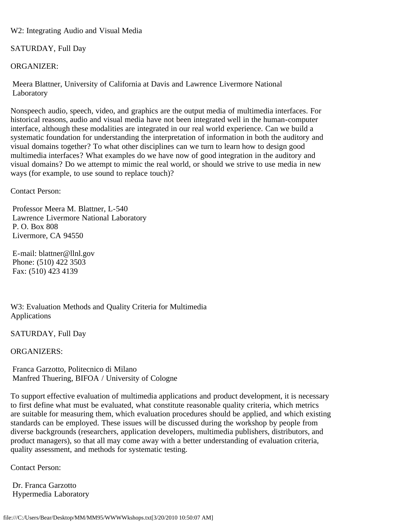W2: Integrating Audio and Visual Media

SATURDAY, Full Day

ORGANIZER:

 Meera Blattner, University of California at Davis and Lawrence Livermore National Laboratory

Nonspeech audio, speech, video, and graphics are the output media of multimedia interfaces. For historical reasons, audio and visual media have not been integrated well in the human-computer interface, although these modalities are integrated in our real world experience. Can we build a systematic foundation for understanding the interpretation of information in both the auditory and visual domains together? To what other disciplines can we turn to learn how to design good multimedia interfaces? What examples do we have now of good integration in the auditory and visual domains? Do we attempt to mimic the real world, or should we strive to use media in new ways (for example, to use sound to replace touch)?

Contact Person:

 Professor Meera M. Blattner, L-540 Lawrence Livermore National Laboratory P. O. Box 808 Livermore, CA 94550

 E-mail: blattner@llnl.gov Phone: (510) 422 3503 Fax: (510) 423 4139

W3: Evaluation Methods and Quality Criteria for Multimedia Applications

SATURDAY, Full Day

ORGANIZERS:

 Franca Garzotto, Politecnico di Milano Manfred Thuering, BIFOA / University of Cologne

To support effective evaluation of multimedia applications and product development, it is necessary to first define what must be evaluated, what constitute reasonable quality criteria, which metrics are suitable for measuring them, which evaluation procedures should be applied, and which existing standards can be employed. These issues will be discussed during the workshop by people from diverse backgrounds (researchers, application developers, multimedia publishers, distributors, and product managers), so that all may come away with a better understanding of evaluation criteria, quality assessment, and methods for systematic testing.

Contact Person:

 Dr. Franca Garzotto Hypermedia Laboratory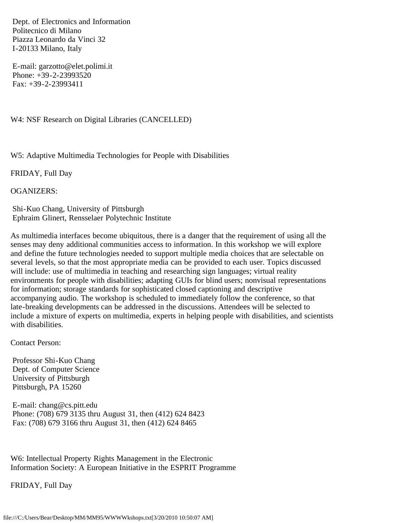Dept. of Electronics and Information Politecnico di Milano Piazza Leonardo da Vinci 32 I-20133 Milano, Italy

 E-mail: garzotto@elet.polimi.it Phone: +39-2-23993520 Fax: +39-2-23993411

W4: NSF Research on Digital Libraries (CANCELLED)

W5: Adaptive Multimedia Technologies for People with Disabilities

FRIDAY, Full Day

OGANIZERS:

 Shi-Kuo Chang, University of Pittsburgh Ephraim Glinert, Rensselaer Polytechnic Institute

As multimedia interfaces become ubiquitous, there is a danger that the requirement of using all the senses may deny additional communities access to information. In this workshop we will explore and define the future technologies needed to support multiple media choices that are selectable on several levels, so that the most appropriate media can be provided to each user. Topics discussed will include: use of multimedia in teaching and researching sign languages; virtual reality environments for people with disabilities; adapting GUIs for blind users; nonvisual representations for information; storage standards for sophisticated closed captioning and descriptive accompanying audio. The workshop is scheduled to immediately follow the conference, so that late-breaking developments can be addressed in the discussions. Attendees will be selected to include a mixture of experts on multimedia, experts in helping people with disabilities, and scientists with disabilities.

Contact Person:

 Professor Shi-Kuo Chang Dept. of Computer Science University of Pittsburgh Pittsburgh, PA 15260

 E-mail: chang@cs.pitt.edu Phone: (708) 679 3135 thru August 31, then (412) 624 8423 Fax: (708) 679 3166 thru August 31, then (412) 624 8465

W6: Intellectual Property Rights Management in the Electronic Information Society: A European Initiative in the ESPRIT Programme

FRIDAY, Full Day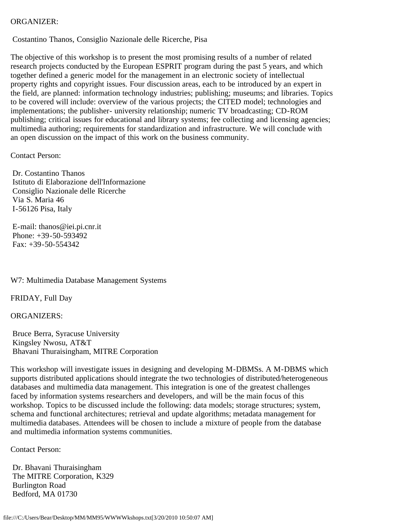# ORGANIZER:

Costantino Thanos, Consiglio Nazionale delle Ricerche, Pisa

The objective of this workshop is to present the most promising results of a number of related research projects conducted by the European ESPRIT program during the past 5 years, and which together defined a generic model for the management in an electronic society of intellectual property rights and copyright issues. Four discussion areas, each to be introduced by an expert in the field, are planned: information technology industries; publishing; museums; and libraries. Topics to be covered will include: overview of the various projects; the CITED model; technologies and implementations; the publisher- university relationship; numeric TV broadcasting; CD-ROM publishing; critical issues for educational and library systems; fee collecting and licensing agencies; multimedia authoring; requirements for standardization and infrastructure. We will conclude with an open discussion on the impact of this work on the business community.

Contact Person:

 Dr. Costantino Thanos Istituto di Elaborazione dell'Informazione Consiglio Nazionale delle Ricerche Via S. Maria 46 I-56126 Pisa, Italy

 E-mail: thanos@iei.pi.cnr.it Phone: +39-50-593492 Fax: +39-50-554342

W7: Multimedia Database Management Systems

FRIDAY, Full Day

ORGANIZERS:

 Bruce Berra, Syracuse University Kingsley Nwosu, AT&T Bhavani Thuraisingham, MITRE Corporation

This workshop will investigate issues in designing and developing M-DBMSs. A M-DBMS which supports distributed applications should integrate the two technologies of distributed/heterogeneous databases and multimedia data management. This integration is one of the greatest challenges faced by information systems researchers and developers, and will be the main focus of this workshop. Topics to be discussed include the following: data models; storage structures; system, schema and functional architectures; retrieval and update algorithms; metadata management for multimedia databases. Attendees will be chosen to include a mixture of people from the database and multimedia information systems communities.

Contact Person:

 Dr. Bhavani Thuraisingham The MITRE Corporation, K329 Burlington Road Bedford, MA 01730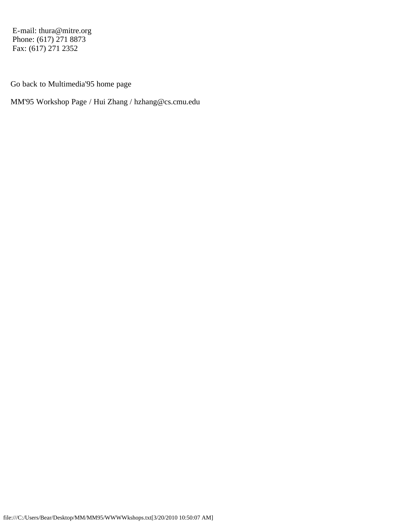E-mail: thura@mitre.org Phone: (617) 271 8873 Fax: (617) 271 2352

Go back to Multimedia'95 home page

MM'95 Workshop Page / Hui Zhang / hzhang@cs.cmu.edu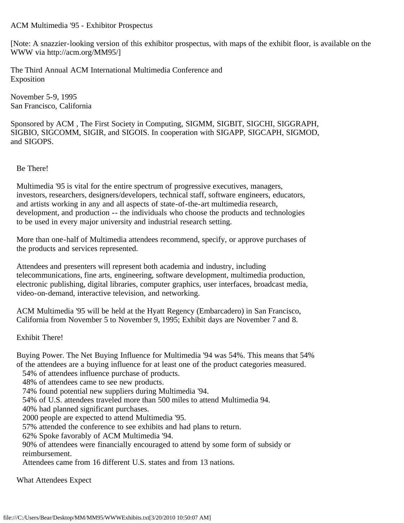## <span id="page-49-0"></span>ACM Multimedia '95 - Exhibitor Prospectus

[Note: A snazzier-looking version of this exhibitor prospectus, with maps of the exhibit floor, is available on the WWW via http://acm.org/MM95/]

The Third Annual ACM International Multimedia Conference and Exposition

November 5-9, 1995 San Francisco, California

Sponsored by ACM , The First Society in Computing, SIGMM, SIGBIT, SIGCHI, SIGGRAPH, SIGBIO, SIGCOMM, SIGIR, and SIGOIS. In cooperation with SIGAPP, SIGCAPH, SIGMOD, and SIGOPS.

## Be There!

 Multimedia '95 is vital for the entire spectrum of progressive executives, managers, investors, researchers, designers/developers, technical staff, software engineers, educators, and artists working in any and all aspects of state-of-the-art multimedia research, development, and production -- the individuals who choose the products and technologies to be used in every major university and industrial research setting.

 More than one-half of Multimedia attendees recommend, specify, or approve purchases of the products and services represented.

 Attendees and presenters will represent both academia and industry, including telecommunications, fine arts, engineering, software development, multimedia production, electronic publishing, digital libraries, computer graphics, user interfaces, broadcast media, video-on-demand, interactive television, and networking.

 ACM Multimedia '95 will be held at the Hyatt Regency (Embarcadero) in San Francisco, California from November 5 to November 9, 1995; Exhibit days are November 7 and 8.

### Exhibit There!

 Buying Power. The Net Buying Influence for Multimedia '94 was 54%. This means that 54% of the attendees are a buying influence for at least one of the product categories measured.

54% of attendees influence purchase of products.

48% of attendees came to see new products.

74% found potential new suppliers during Multimedia '94.

54% of U.S. attendees traveled more than 500 miles to attend Multimedia 94.

40% had planned significant purchases.

2000 people are expected to attend Multimedia '95.

57% attended the conference to see exhibits and had plans to return.

62% Spoke favorably of ACM Multimedia '94.

 90% of attendees were financially encouraged to attend by some form of subsidy or reimbursement.

Attendees came from 16 different U.S. states and from 13 nations.

What Attendees Expect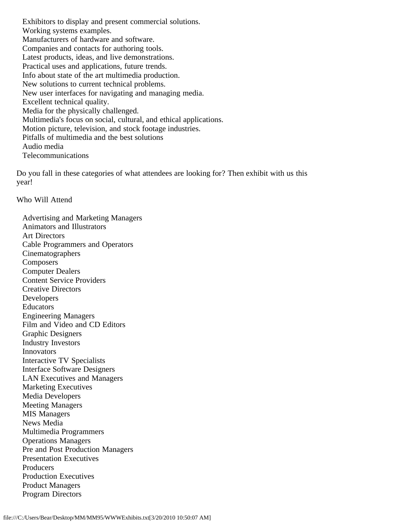Exhibitors to display and present commercial solutions. Working systems examples. Manufacturers of hardware and software. Companies and contacts for authoring tools. Latest products, ideas, and live demonstrations. Practical uses and applications, future trends. Info about state of the art multimedia production. New solutions to current technical problems. New user interfaces for navigating and managing media. Excellent technical quality. Media for the physically challenged. Multimedia's focus on social, cultural, and ethical applications. Motion picture, television, and stock footage industries. Pitfalls of multimedia and the best solutions Audio media Telecommunications

 Do you fall in these categories of what attendees are looking for? Then exhibit with us this year!

Who Will Attend

 Advertising and Marketing Managers Animators and Illustrators Art Directors Cable Programmers and Operators Cinematographers **Composers**  Computer Dealers Content Service Providers Creative Directors Developers Educators Engineering Managers Film and Video and CD Editors Graphic Designers Industry Investors Innovators Interactive TV Specialists Interface Software Designers LAN Executives and Managers Marketing Executives Media Developers Meeting Managers MIS Managers News Media Multimedia Programmers Operations Managers Pre and Post Production Managers Presentation Executives Producers Production Executives Product Managers Program Directors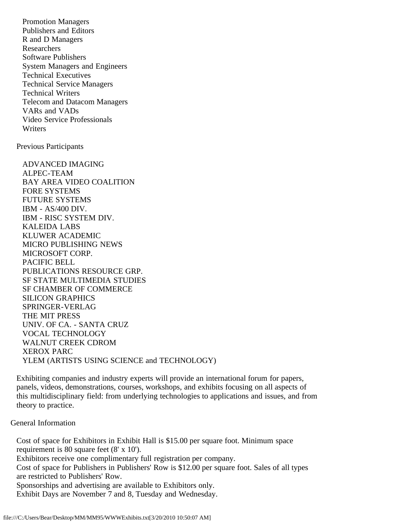Promotion Managers Publishers and Editors R and D Managers Researchers Software Publishers System Managers and Engineers Technical Executives Technical Service Managers Technical Writers Telecom and Datacom Managers VARs and VADs Video Service Professionals **Writers** 

Previous Participants

 ADVANCED IMAGING ALPEC-TEAM BAY AREA VIDEO COALITION FORE SYSTEMS FUTURE SYSTEMS IBM - AS/400 DIV. IBM - RISC SYSTEM DIV. KALEIDA LABS KLUWER ACADEMIC MICRO PUBLISHING NEWS MICROSOFT CORP. PACIFIC BELL PUBLICATIONS RESOURCE GRP. SF STATE MULTIMEDIA STUDIES SF CHAMBER OF COMMERCE SILICON GRAPHICS SPRINGER-VERLAG THE MIT PRESS UNIV. OF CA. - SANTA CRUZ VOCAL TECHNOLOGY WALNUT CREEK CDROM XEROX PARC YLEM (ARTISTS USING SCIENCE and TECHNOLOGY)

 Exhibiting companies and industry experts will provide an international forum for papers, panels, videos, demonstrations, courses, workshops, and exhibits focusing on all aspects of this multidisciplinary field: from underlying technologies to applications and issues, and from theory to practice.

# General Information

 Cost of space for Exhibitors in Exhibit Hall is \$15.00 per square foot. Minimum space requirement is 80 square feet (8' x 10'). Exhibitors receive one complimentary full registration per company. Cost of space for Publishers in Publishers' Row is \$12.00 per square foot. Sales of all types are restricted to Publishers' Row. Sponsorships and advertising are available to Exhibitors only. Exhibit Days are November 7 and 8, Tuesday and Wednesday.